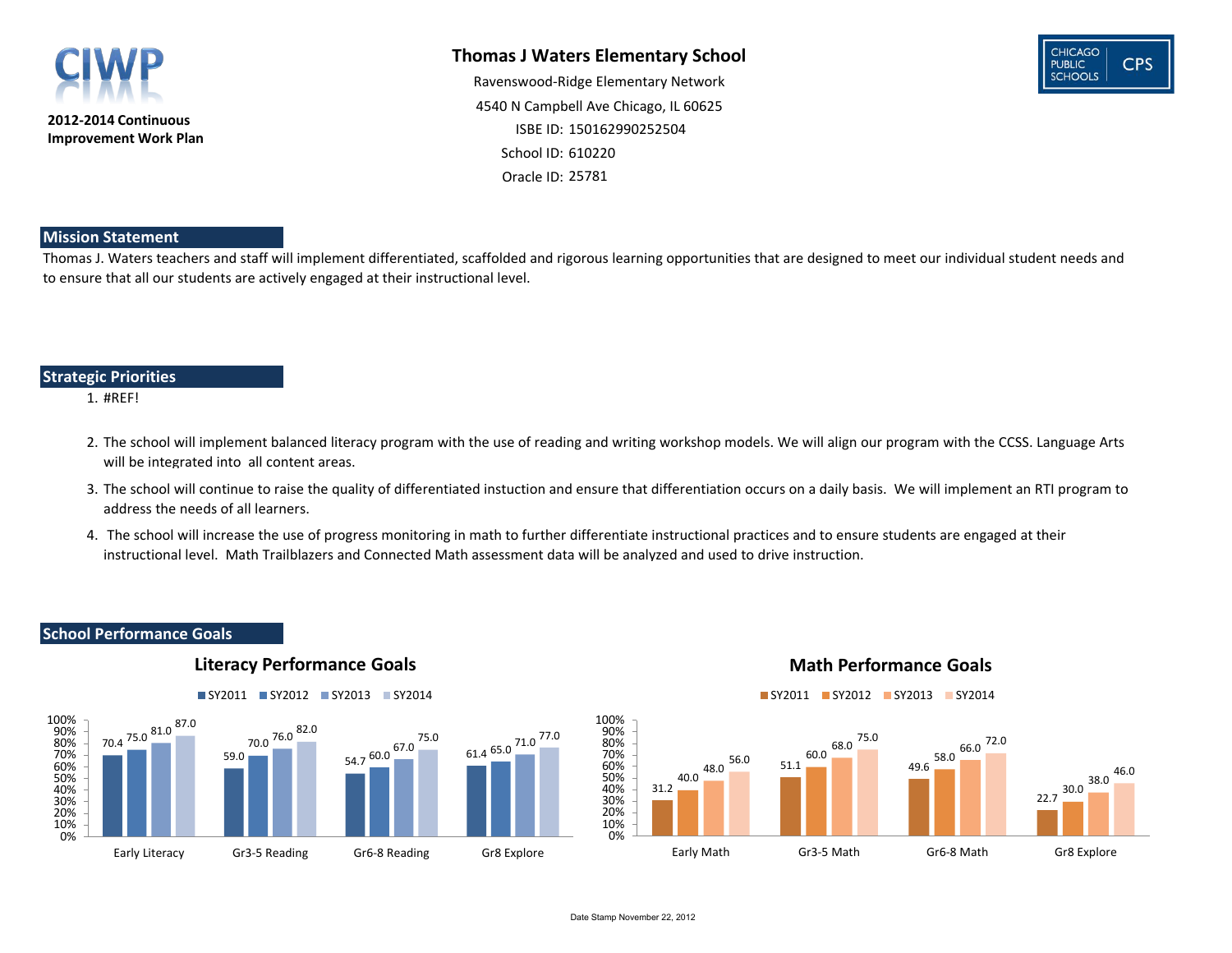#### **Mission Statement**

#### **Strategic Priorities**

#### **Thomas J Waters Elementary School**

School ID: 610220 25781 Oracle ID: Ravenswood-Ridge Elementary Network 4540 N Campbell Ave Chicago, IL 60625 ISBE ID: 150162990252504

#### 1. #REF!

Thomas J. Waters teachers and staff will implement differentiated, scaffolded and rigorous learning opportunities that are designed to meet our individual student needs and to ensure that all our students are actively engaged at their instructional level.

- 2. The school will implement balanced literacy program with the use of reading and writing workshop models. We will align our program with the CCSS. Language Arts will be integrated into all content areas.
- 3. The school will continue to raise the quality of differentiated instuction and ensure that differentiation occurs on a daily basis. We will implement an RTI program to address the needs of all learners.
- 4. The school will increase the use of progress monitoring in math to further differentiate instructional practices and to ensure students are engaged at their instructional level. Math Trailblazers and Connected Math assessment data will be analyzed and used to drive instruction.

#### **School Performance Goals**





#### **Literacy Performance Goals**



#### **Math Performance Goals**

#### Date Stamp November 22, 2012





SY2011 SY2012 SY2013 SY2014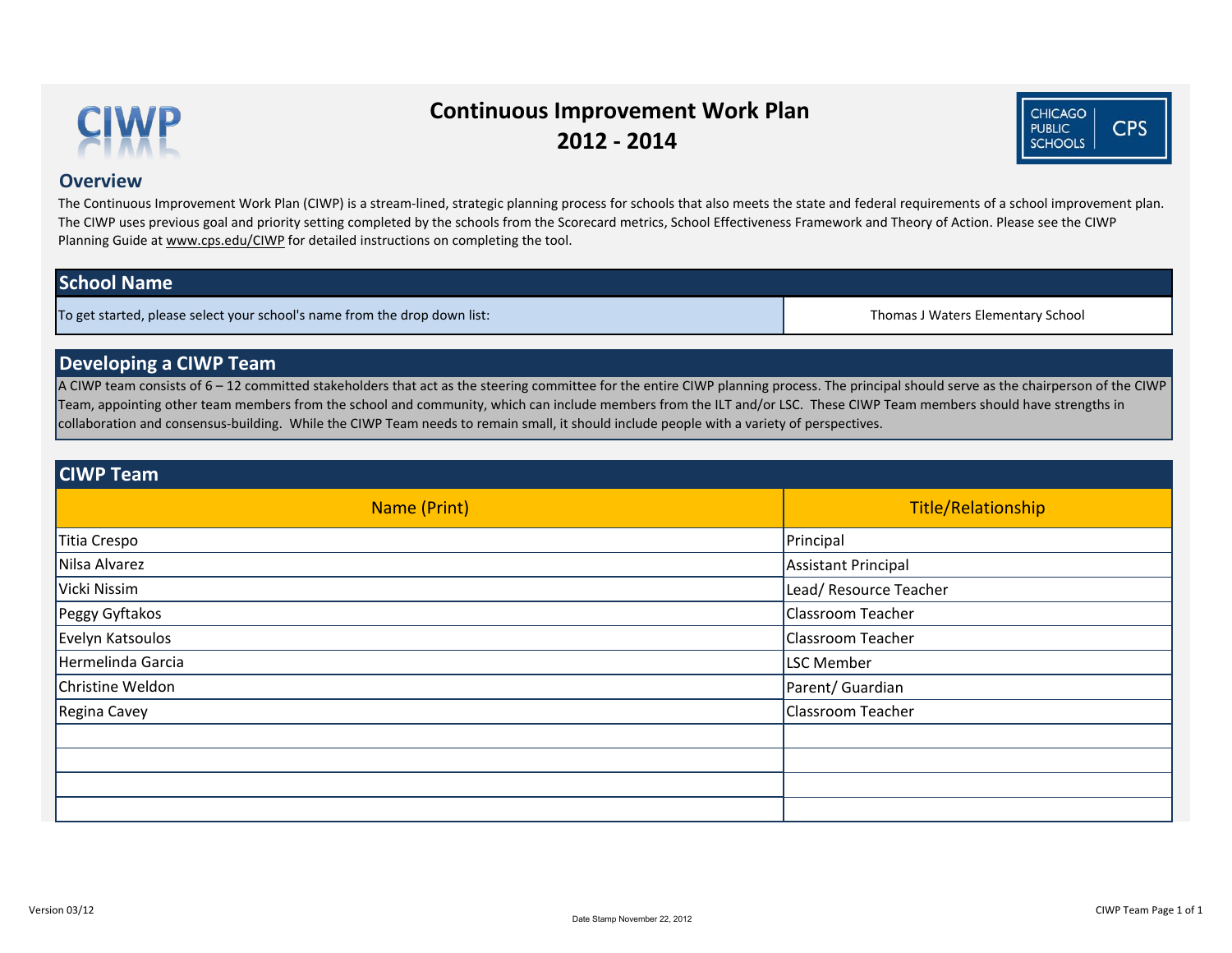#### **Overview**

# **School Name**

Thomas J Waters Elementary School

### **Developing a CIWP Team**

To get started, please select your school's name from the drop down list:

A CIWP team consists of 6 – 12 committed stakeholders that act as the steering committee for the entire CIWP planning process. The principal should serve as the chairperson of the CIWP Team, appointing other team members from the school and community, which can include members from the ILT and/or LSC. These CIWP Team members should have strengths in collaboration and consensus-building. While the CIWP Team needs to remain small, it should include people with a variety of perspectives.

| Name (Print)      | Title                      |
|-------------------|----------------------------|
|                   |                            |
| Titia Crespo      | Principal                  |
| Nilsa Alvarez     | <b>Assistant Principal</b> |
| Vicki Nissim      | Lead/ Resource Teacher     |
| Peggy Gyftakos    | <b>Classroom Teacher</b>   |
| Evelyn Katsoulos  | <b>Classroom Teacher</b>   |
| Hermelinda Garcia | <b>LSC Member</b>          |
| Christine Weldon  | Parent/ Guardian           |
| Regina Cavey      | <b>Classroom Teacher</b>   |
|                   |                            |
|                   |                            |
|                   |                            |
|                   |                            |

### **CIWP Team**

The Continuous Improvement Work Plan (CIWP) is a stream-lined, strategic planning process for schools that also meets the state and federal requirements of a school improvement plan. The CIWP uses previous goal and priority setting completed by the schools from the Scorecard metrics, School Effectiveness Framework and Theory of Action. Please see the CIWP Planning Guide at www.cps.edu/CIWP for detailed instructions on completing the tool.



# **Continuous Improvement Work Plan 2012 - 2014**



e/Relationship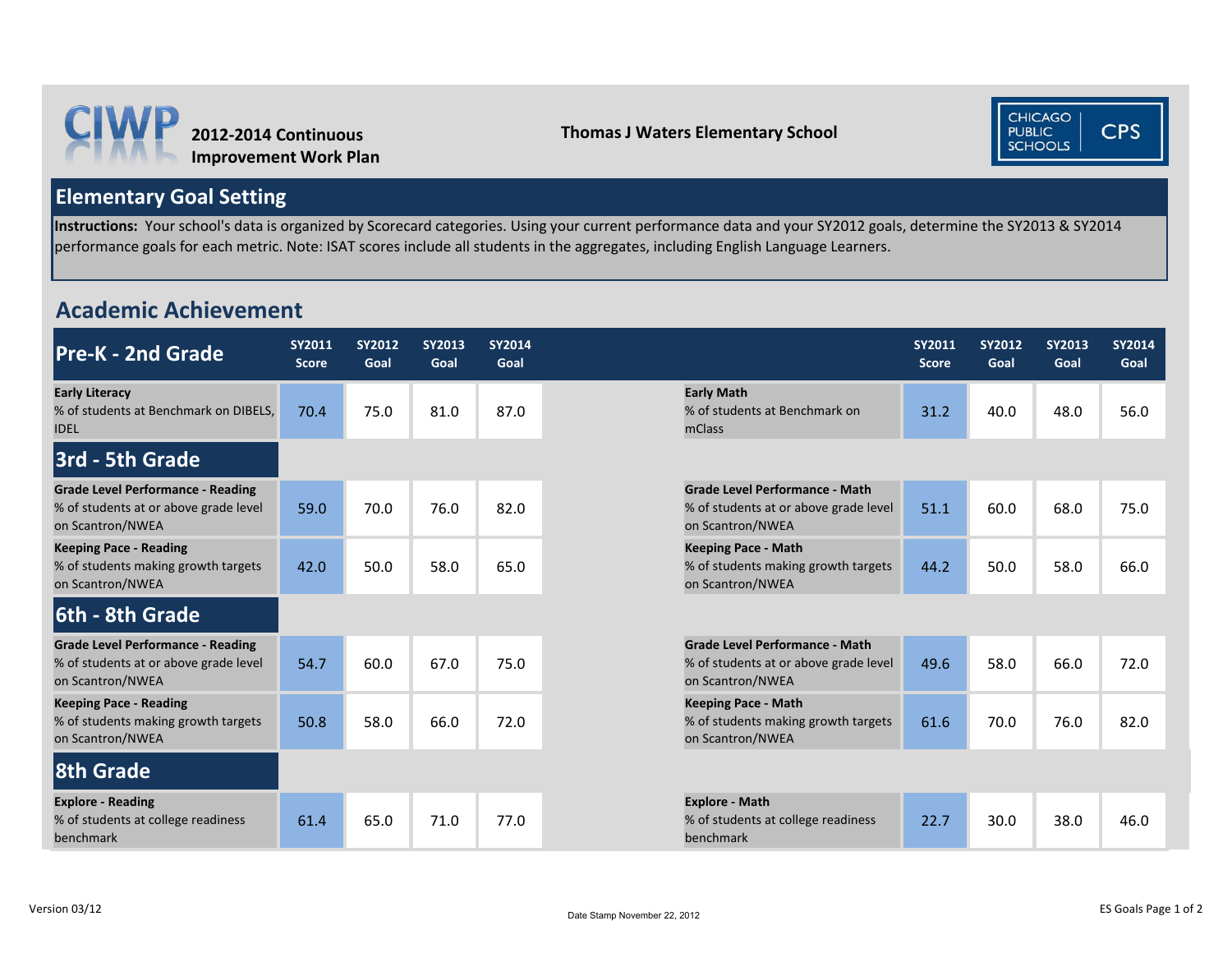



# **Elementary Goal Setting**

**Instructions:** Your school's data is organized by Scorecard categories. Using your current performance data and your SY2012 goals, determine the SY2013 & SY2014 performance goals for each metric. Note: ISAT scores include all students in the aggregates, including English Language Learners.

# **Academic Achievement**

| <b>Pre-K - 2nd Grade</b>                                                                              | <b>SY2011</b><br><b>Score</b> | <b>SY2012</b><br>Goal | <b>SY2013</b><br>Goal | <b>SY2014</b><br>Goal |                                                                                                    | <b>SY2011</b><br><b>Score</b> | <b>SY2012</b><br>Goal | <b>SY2013</b><br>Goal | <b>SY2014</b><br>Goal |
|-------------------------------------------------------------------------------------------------------|-------------------------------|-----------------------|-----------------------|-----------------------|----------------------------------------------------------------------------------------------------|-------------------------------|-----------------------|-----------------------|-----------------------|
| <b>Early Literacy</b><br>% of students at Benchmark on DIBELS,<br><b>IDEL</b>                         | 70.4                          | 75.0                  | 81.0                  | 87.0                  | <b>Early Math</b><br>% of students at Benchmark on<br>mClass                                       | 31.2                          | 40.0                  | 48.0                  | 56.0                  |
| 3rd - 5th Grade                                                                                       |                               |                       |                       |                       |                                                                                                    |                               |                       |                       |                       |
| <b>Grade Level Performance - Reading</b><br>% of students at or above grade level<br>on Scantron/NWEA | 59.0                          | 70.0                  | 76.0                  | 82.0                  | <b>Grade Level Performance - Math</b><br>% of students at or above grade level<br>on Scantron/NWEA | 51.1                          | 60.0                  | 68.0                  | 75.0                  |
| <b>Keeping Pace - Reading</b><br>% of students making growth targets<br>on Scantron/NWEA              | 42.0                          | 50.0                  | 58.0                  | 65.0                  | <b>Keeping Pace - Math</b><br>% of students making growth targets<br>on Scantron/NWEA              | 44.2                          | 50.0                  | 58.0                  | 66.0                  |
| 6th - 8th Grade                                                                                       |                               |                       |                       |                       |                                                                                                    |                               |                       |                       |                       |
| <b>Grade Level Performance - Reading</b><br>% of students at or above grade level<br>on Scantron/NWEA | 54.7                          | 60.0                  | 67.0                  | 75.0                  | <b>Grade Level Performance - Math</b><br>% of students at or above grade level<br>on Scantron/NWEA | 49.6                          | 58.0                  | 66.0                  | 72.0                  |
| <b>Keeping Pace - Reading</b><br>% of students making growth targets<br>on Scantron/NWEA              | 50.8                          | 58.0                  | 66.0                  | 72.0                  | <b>Keeping Pace - Math</b><br>% of students making growth targets<br>on Scantron/NWEA              | 61.6                          | 70.0                  | 76.0                  | 82.0                  |
| <b>8th Grade</b>                                                                                      |                               |                       |                       |                       |                                                                                                    |                               |                       |                       |                       |
| <b>Explore - Reading</b><br>% of students at college readiness<br>benchmark                           | 61.4                          | 65.0                  | 71.0                  | 77.0                  | <b>Explore - Math</b><br>% of students at college readiness<br>benchmark                           | 22.7                          | 30.0                  | 38.0                  | 46.0                  |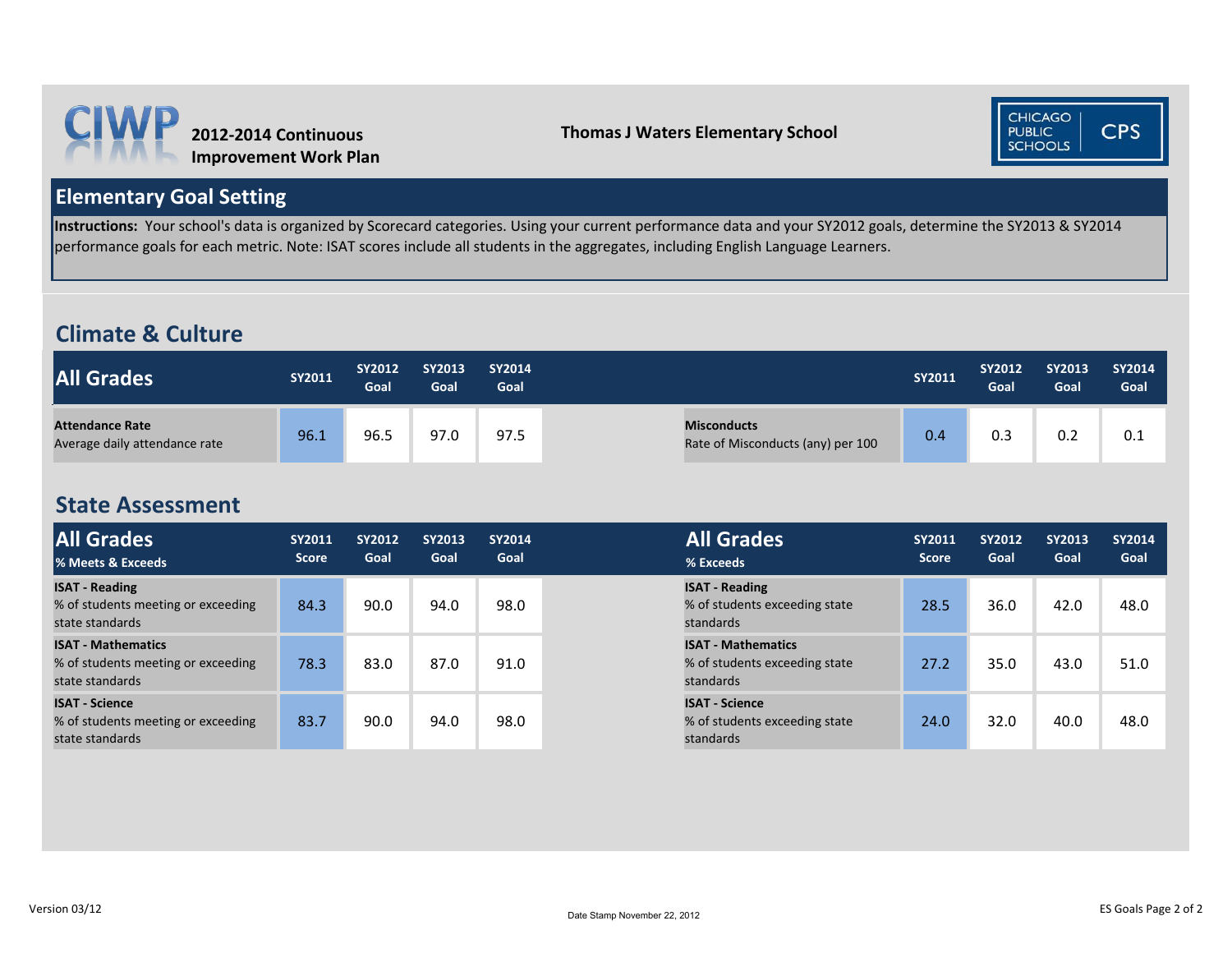



# **Elementary Goal Setting**

**Instructions:** Your school's data is organized by Scorecard categories. Using your current performance data and your SY2012 goals, determine the SY2013 & SY2014 performance goals for each metric. Note: ISAT scores include all students in the aggregates, including English Language Learners.

# **Climate & Culture**

| <b>All Grades</b>                                       | SY2011 | <b>SY2012</b><br>Goal | <b>SY2013</b><br>Goal | <b>SY2014</b><br>Goal |                                                         | <b>SY2011</b> | <b>SY2012</b><br>Goal | <b>SY2013</b><br>Goal | SY2014<br>Goal |
|---------------------------------------------------------|--------|-----------------------|-----------------------|-----------------------|---------------------------------------------------------|---------------|-----------------------|-----------------------|----------------|
| <b>Attendance Rate</b><br>Average daily attendance rate | 96.1   | 96.5                  | 97.0                  | 97.5                  | <b>Misconducts</b><br>Rate of Misconducts (any) per 100 | 0.4           | 0.3                   | 0.2                   | 0.1            |

# **State Assessment**

| <b>All Grades</b><br>% Meets & Exceeds                                             | <b>SY2011</b><br><b>Score</b> | <b>SY2012</b><br>Goal | <b>SY2013</b><br>Goal | <b>SY2014</b><br>Goal | <b>All Grades</b><br>% Exceeds                                          | <b>SY2011</b><br><b>Score</b> | <b>SY2012</b><br>Goal | <b>SY2013</b><br>Goal | <b>SY2014</b><br>Goal |
|------------------------------------------------------------------------------------|-------------------------------|-----------------------|-----------------------|-----------------------|-------------------------------------------------------------------------|-------------------------------|-----------------------|-----------------------|-----------------------|
| <b>ISAT - Reading</b><br>% of students meeting or exceeding<br>state standards     | 84.3                          | 90.0                  | 94.0                  | 98.0                  | <b>ISAT - Reading</b><br>% of students exceeding state<br>standards     | 28.5                          | 36.0                  | 42.0                  | 48.0                  |
| <b>ISAT - Mathematics</b><br>% of students meeting or exceeding<br>state standards | 78.3                          | 83.0                  | 87.0                  | 91.0                  | <b>ISAT - Mathematics</b><br>% of students exceeding state<br>standards | 27.2                          | 35.0                  | 43.0                  | 51.0                  |
| <b>ISAT - Science</b><br>% of students meeting or exceeding<br>state standards     | 83.7                          | 90.0                  | 94.0                  | 98.0                  | <b>ISAT - Science</b><br>% of students exceeding state<br>standards     | 24.0                          | 32.0                  | 40.0                  | 48.0                  |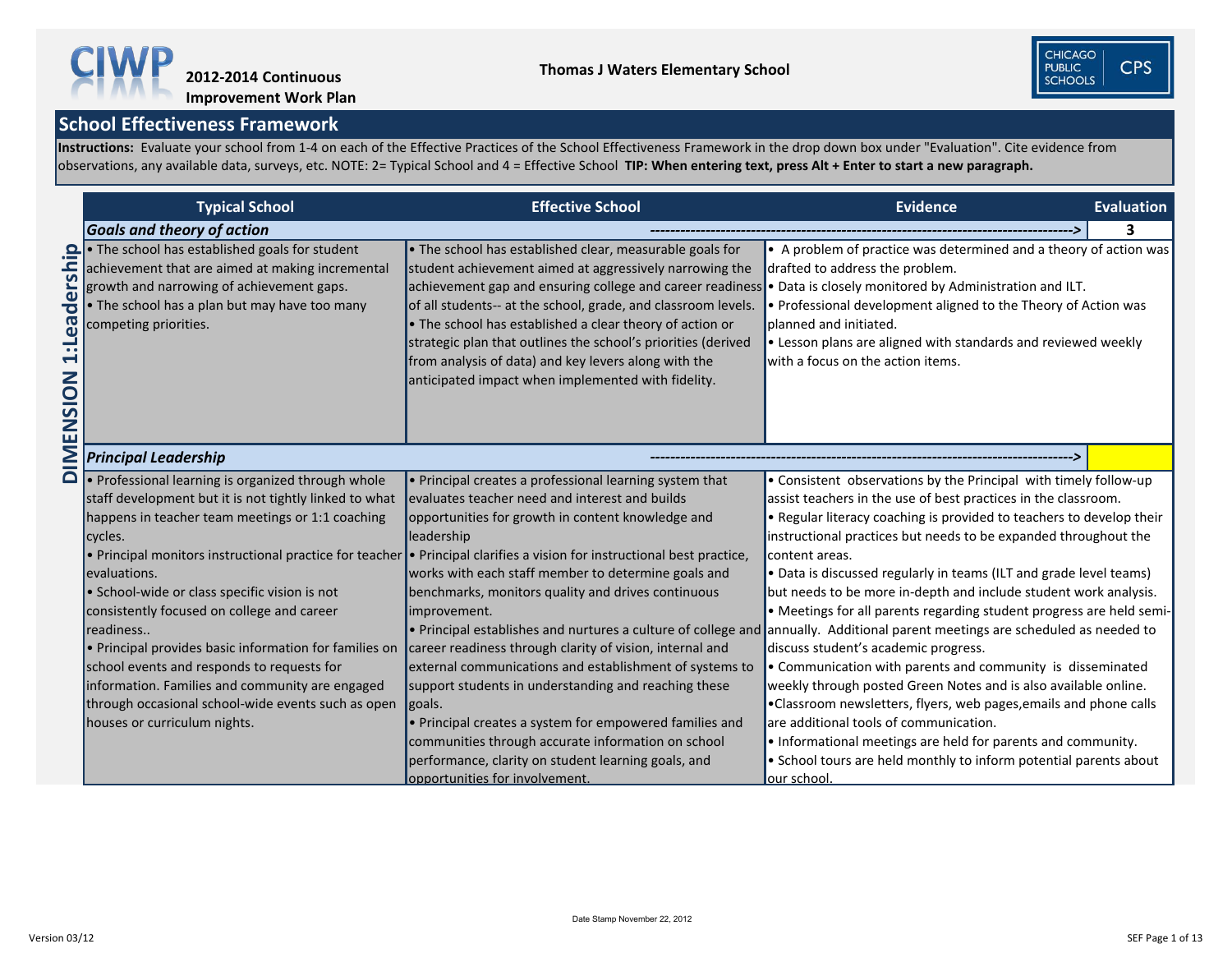|                                                               | <b>Typical School</b>                                                                                                                                                                                                   | <b>Effective School</b>                                                                                                                                                                                                                                                                                                                                                                                                                                                                                                                             | <b>Evidence</b><br>Evaluation                                                                                                                                                                                                                                                                          |
|---------------------------------------------------------------|-------------------------------------------------------------------------------------------------------------------------------------------------------------------------------------------------------------------------|-----------------------------------------------------------------------------------------------------------------------------------------------------------------------------------------------------------------------------------------------------------------------------------------------------------------------------------------------------------------------------------------------------------------------------------------------------------------------------------------------------------------------------------------------------|--------------------------------------------------------------------------------------------------------------------------------------------------------------------------------------------------------------------------------------------------------------------------------------------------------|
|                                                               | <b>Goals and theory of action</b>                                                                                                                                                                                       |                                                                                                                                                                                                                                                                                                                                                                                                                                                                                                                                                     | 3                                                                                                                                                                                                                                                                                                      |
| ers<br>$\overline{\mathbf{C}}$<br><b>isal:</b><br>1<br>ENSION | The school has established goals for student<br>achievement that are aimed at making incremental<br>growth and narrowing of achievement gaps.<br>• The school has a plan but may have too many<br>competing priorities. | . The school has established clear, measurable goals for<br>student achievement aimed at aggressively narrowing the<br>achievement gap and ensuring college and career readiness • Data is closely monitored by Administration and ILT.<br>of all students-- at the school, grade, and classroom levels.<br>• The school has established a clear theory of action or<br>strategic plan that outlines the school's priorities (derived<br>from analysis of data) and key levers along with the<br>anticipated impact when implemented with fidelity. | • A problem of practice was determined and a theory of action was<br>drafted to address the problem.<br>• Professional development aligned to the Theory of Action was<br>planned and initiated.<br>• Lesson plans are aligned with standards and reviewed weekly<br>with a focus on the action items. |
| MIQ                                                           | <b>Principal Leadership</b>                                                                                                                                                                                             |                                                                                                                                                                                                                                                                                                                                                                                                                                                                                                                                                     |                                                                                                                                                                                                                                                                                                        |
|                                                               | • Professional learning is organized through whole                                                                                                                                                                      | • Principal creates a professional learning system that                                                                                                                                                                                                                                                                                                                                                                                                                                                                                             | • Consistent observations by the Principal with timely follow-up                                                                                                                                                                                                                                       |
|                                                               | staff development but it is not tightly linked to what                                                                                                                                                                  | evaluates teacher need and interest and builds                                                                                                                                                                                                                                                                                                                                                                                                                                                                                                      | assist teachers in the use of best practices in the classroom.                                                                                                                                                                                                                                         |
|                                                               | happens in teacher team meetings or 1:1 coaching                                                                                                                                                                        | opportunities for growth in content knowledge and                                                                                                                                                                                                                                                                                                                                                                                                                                                                                                   | • Regular literacy coaching is provided to teachers to develop their                                                                                                                                                                                                                                   |
|                                                               | cycles.                                                                                                                                                                                                                 | leadership                                                                                                                                                                                                                                                                                                                                                                                                                                                                                                                                          | instructional practices but needs to be expanded throughout the                                                                                                                                                                                                                                        |
|                                                               | $\cdot$ Principal monitors instructional practice for teacher                                                                                                                                                           | $\cdot$ Principal clarifies a vision for instructional best practice,                                                                                                                                                                                                                                                                                                                                                                                                                                                                               | content areas.                                                                                                                                                                                                                                                                                         |
|                                                               | levaluations.                                                                                                                                                                                                           | works with each staff member to determine goals and                                                                                                                                                                                                                                                                                                                                                                                                                                                                                                 | • Data is discussed regularly in teams (ILT and grade level teams)                                                                                                                                                                                                                                     |
|                                                               | • School-wide or class specific vision is not                                                                                                                                                                           | benchmarks, monitors quality and drives continuous                                                                                                                                                                                                                                                                                                                                                                                                                                                                                                  | but needs to be more in-depth and include student work analysis.                                                                                                                                                                                                                                       |
|                                                               | consistently focused on college and career                                                                                                                                                                              | improvement.                                                                                                                                                                                                                                                                                                                                                                                                                                                                                                                                        | • Meetings for all parents regarding student progress are held semi                                                                                                                                                                                                                                    |
|                                                               | readiness                                                                                                                                                                                                               |                                                                                                                                                                                                                                                                                                                                                                                                                                                                                                                                                     | $\bullet$ Principal establishes and nurtures a culture of college and annually. Additional parent meetings are scheduled as needed to                                                                                                                                                                  |
|                                                               | $\cdot$ Principal provides basic information for families on                                                                                                                                                            | career readiness through clarity of vision, internal and                                                                                                                                                                                                                                                                                                                                                                                                                                                                                            | discuss student's academic progress.                                                                                                                                                                                                                                                                   |
|                                                               | school events and responds to requests for                                                                                                                                                                              | external communications and establishment of systems to                                                                                                                                                                                                                                                                                                                                                                                                                                                                                             | • Communication with parents and community is disseminated                                                                                                                                                                                                                                             |
|                                                               | information. Families and community are engaged                                                                                                                                                                         | support students in understanding and reaching these                                                                                                                                                                                                                                                                                                                                                                                                                                                                                                | weekly through posted Green Notes and is also available online.                                                                                                                                                                                                                                        |
|                                                               | through occasional school-wide events such as open                                                                                                                                                                      | goals.                                                                                                                                                                                                                                                                                                                                                                                                                                                                                                                                              | •Classroom newsletters, flyers, web pages, emails and phone calls                                                                                                                                                                                                                                      |
|                                                               | houses or curriculum nights.                                                                                                                                                                                            | • Principal creates a system for empowered families and                                                                                                                                                                                                                                                                                                                                                                                                                                                                                             | are additional tools of communication.                                                                                                                                                                                                                                                                 |
|                                                               |                                                                                                                                                                                                                         | communities through accurate information on school                                                                                                                                                                                                                                                                                                                                                                                                                                                                                                  | • Informational meetings are held for parents and community.                                                                                                                                                                                                                                           |
|                                                               |                                                                                                                                                                                                                         | performance, clarity on student learning goals, and                                                                                                                                                                                                                                                                                                                                                                                                                                                                                                 | • School tours are held monthly to inform potential parents about                                                                                                                                                                                                                                      |
|                                                               |                                                                                                                                                                                                                         | opportunities for involvement.                                                                                                                                                                                                                                                                                                                                                                                                                                                                                                                      | our school.                                                                                                                                                                                                                                                                                            |

**Instructions:** Evaluate your school from 1-4 on each of the Effective Practices of the School Effectiveness Framework in the drop down box under "Evaluation". Cite evidence from observations, any available data, surveys, etc. NOTE: 2= Typical School and 4 = Effective School **TIP: When entering text, press Alt + Enter to start a new paragraph.** 



# **Improvement Work Plan**



- by Administration and ILT.
- aligned to the Theory of Action was
- vith standards and reviewed weekly ems.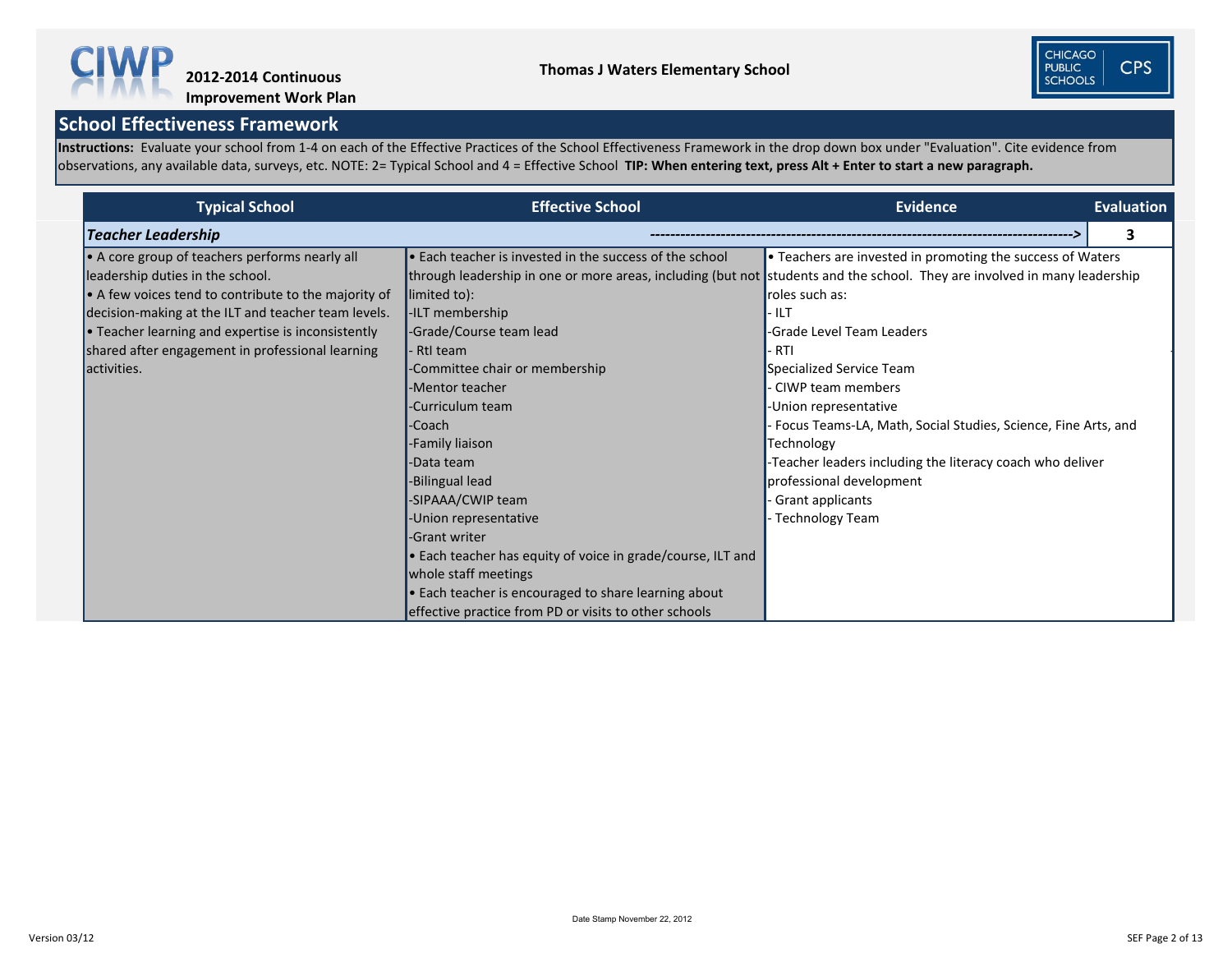Instructions: Evaluate your school from 1-4 on each of the Effective Practices of the School Effectiveness Framework in the drop down box under "Evaluation". Cite evidence from observations, any available data, surveys, etc. NOTE: 2= Typical School and 4 = Effective School **TIP: When entering text, press Alt + Enter to start a new paragraph.** 



**Improvement Work Plan**

| <b>Typical School</b>                                        | <b>Effective School</b>                                                                                                   | <b>Evidence</b>                                               | <b>Evaluation</b> |
|--------------------------------------------------------------|---------------------------------------------------------------------------------------------------------------------------|---------------------------------------------------------------|-------------------|
| <b>Teacher Leadership</b>                                    |                                                                                                                           |                                                               | 3                 |
| • A core group of teachers performs nearly all               | • Each teacher is invested in the success of the school                                                                   | • Teachers are invested in promoting the success of Waters    |                   |
| leadership duties in the school.                             | through leadership in one or more areas, including (but not students and the school. They are involved in many leadership |                                                               |                   |
| $\bullet$ A few voices tend to contribute to the majority of | limited to):                                                                                                              | roles such as:                                                |                   |
| decision-making at the ILT and teacher team levels.          | -ILT membership                                                                                                           | <b>ILT</b>                                                    |                   |
| • Teacher learning and expertise is inconsistently           | -Grade/Course team lead                                                                                                   | -Grade Level Team Leaders                                     |                   |
| shared after engagement in professional learning             | RtI team                                                                                                                  | · RTI                                                         |                   |
| activities.                                                  | -Committee chair or membership                                                                                            | Specialized Service Team                                      |                   |
|                                                              | -Mentor teacher                                                                                                           | <b>CIWP team members</b>                                      |                   |
|                                                              | -Curriculum team                                                                                                          | -Union representative                                         |                   |
|                                                              | -Coach                                                                                                                    | Focus Teams-LA, Math, Social Studies, Science, Fine Arts, and |                   |
|                                                              | -Family liaison                                                                                                           | Technology                                                    |                   |
|                                                              | -Data team                                                                                                                | -Teacher leaders including the literacy coach who deliver     |                   |
|                                                              | -Bilingual lead                                                                                                           | professional development                                      |                   |
|                                                              | -SIPAAA/CWIP team                                                                                                         | <b>Grant applicants</b>                                       |                   |
|                                                              | -Union representative                                                                                                     | Technology Team                                               |                   |
|                                                              | -Grant writer                                                                                                             |                                                               |                   |
|                                                              | • Each teacher has equity of voice in grade/course, ILT and                                                               |                                                               |                   |
|                                                              | whole staff meetings                                                                                                      |                                                               |                   |
|                                                              | • Each teacher is encouraged to share learning about                                                                      |                                                               |                   |
|                                                              | effective practice from PD or visits to other schools                                                                     |                                                               |                   |

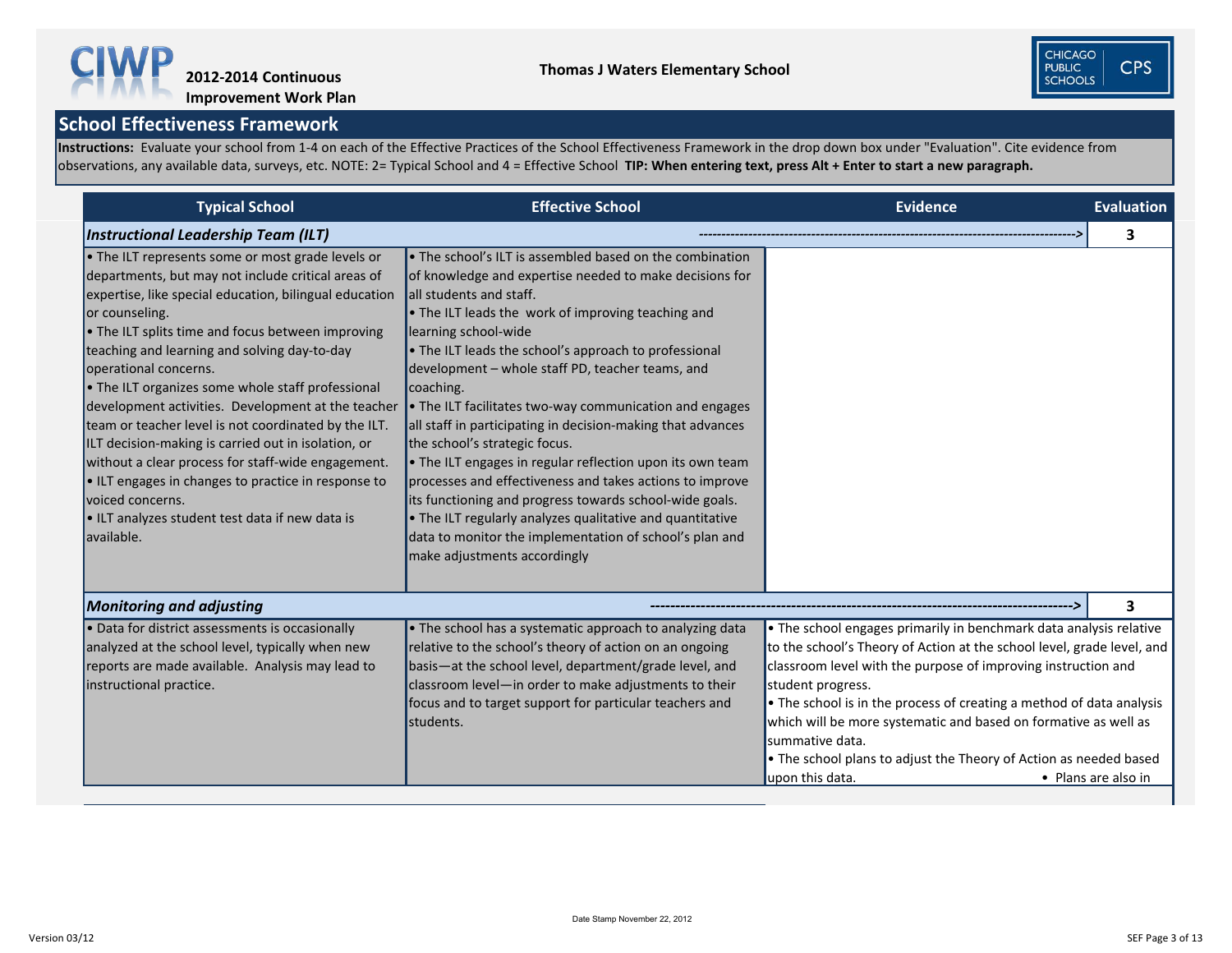**Instructions:** Evaluate your school from 1-4 on each of the Effective Practices of the School Effectiveness Framework in the drop down box under "Evaluation". Cite evidence from observations, any available data, surveys, etc. NOTE: 2= Typical School and 4 = Effective School **TIP: When entering text, press Alt + Enter to start a new paragraph.** 



| <b>Typical School</b>                                                                                                                                                                                                                                                                                                                                                                                                                                                                                                                                                                                                                                                                                                                                         | <b>Effective School</b>                                                                                                                                                                                                                                                                                                                                                                                                                                                                                                                                                                                                                                                                                                                                                                                                                                       | <b>Evidence</b>                                                                                                                                                                                                                                                                                                                                                                                                                                                                          | <b>Evaluation</b>       |
|---------------------------------------------------------------------------------------------------------------------------------------------------------------------------------------------------------------------------------------------------------------------------------------------------------------------------------------------------------------------------------------------------------------------------------------------------------------------------------------------------------------------------------------------------------------------------------------------------------------------------------------------------------------------------------------------------------------------------------------------------------------|---------------------------------------------------------------------------------------------------------------------------------------------------------------------------------------------------------------------------------------------------------------------------------------------------------------------------------------------------------------------------------------------------------------------------------------------------------------------------------------------------------------------------------------------------------------------------------------------------------------------------------------------------------------------------------------------------------------------------------------------------------------------------------------------------------------------------------------------------------------|------------------------------------------------------------------------------------------------------------------------------------------------------------------------------------------------------------------------------------------------------------------------------------------------------------------------------------------------------------------------------------------------------------------------------------------------------------------------------------------|-------------------------|
| <b>Instructional Leadership Team (ILT)</b>                                                                                                                                                                                                                                                                                                                                                                                                                                                                                                                                                                                                                                                                                                                    |                                                                                                                                                                                                                                                                                                                                                                                                                                                                                                                                                                                                                                                                                                                                                                                                                                                               |                                                                                                                                                                                                                                                                                                                                                                                                                                                                                          | 3                       |
| • The ILT represents some or most grade levels or<br>departments, but may not include critical areas of<br>expertise, like special education, bilingual education<br>or counseling.<br>. The ILT splits time and focus between improving<br>teaching and learning and solving day-to-day<br>operational concerns.<br>• The ILT organizes some whole staff professional<br>development activities. Development at the teacher<br>team or teacher level is not coordinated by the ILT.<br>ILT decision-making is carried out in isolation, or<br>without a clear process for staff-wide engagement.<br>$\bullet$ ILT engages in changes to practice in response to<br>voiced concerns.<br>$\bullet$ ILT analyzes student test data if new data is<br>available. | • The school's ILT is assembled based on the combination<br>of knowledge and expertise needed to make decisions for<br>all students and staff.<br>• The ILT leads the work of improving teaching and<br>learning school-wide<br>• The ILT leads the school's approach to professional<br>development – whole staff PD, teacher teams, and<br>coaching.<br>• The ILT facilitates two-way communication and engages<br>all staff in participating in decision-making that advances<br>the school's strategic focus.<br>• The ILT engages in regular reflection upon its own team<br>processes and effectiveness and takes actions to improve<br>its functioning and progress towards school-wide goals.<br>• The ILT regularly analyzes qualitative and quantitative<br>data to monitor the implementation of school's plan and<br>make adjustments accordingly |                                                                                                                                                                                                                                                                                                                                                                                                                                                                                          |                         |
| <b>Monitoring and adjusting</b>                                                                                                                                                                                                                                                                                                                                                                                                                                                                                                                                                                                                                                                                                                                               |                                                                                                                                                                                                                                                                                                                                                                                                                                                                                                                                                                                                                                                                                                                                                                                                                                                               |                                                                                                                                                                                                                                                                                                                                                                                                                                                                                          | $\overline{\mathbf{3}}$ |
| • Data for district assessments is occasionally<br>analyzed at the school level, typically when new<br>reports are made available. Analysis may lead to<br>instructional practice.                                                                                                                                                                                                                                                                                                                                                                                                                                                                                                                                                                            | • The school has a systematic approach to analyzing data<br>relative to the school's theory of action on an ongoing<br>basis—at the school level, department/grade level, and<br>classroom level-in order to make adjustments to their<br>focus and to target support for particular teachers and<br>students.                                                                                                                                                                                                                                                                                                                                                                                                                                                                                                                                                | • The school engages primarily in benchmark data analysis relative<br>to the school's Theory of Action at the school level, grade level, and<br>classroom level with the purpose of improving instruction and<br>student progress.<br>• The school is in the process of creating a method of data analysis<br>which will be more systematic and based on formative as well as<br>summative data.<br>• The school plans to adjust the Theory of Action as needed based<br>upon this data. | • Plans are also in     |

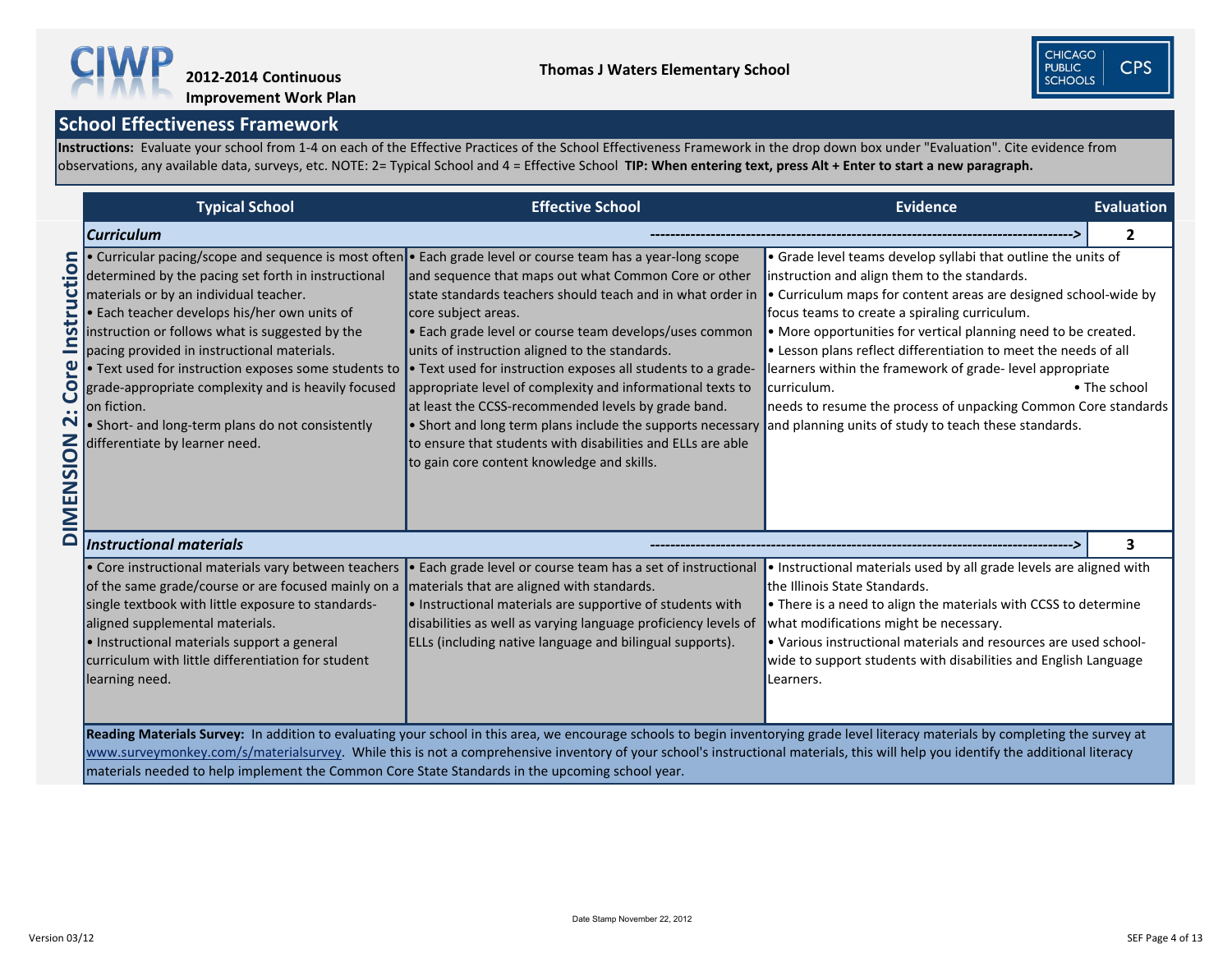**Instructions:** Evaluate your school from 1-4 on each of the Effective Practices of the School Effectiveness Framework in the drop down box under "Evaluation". Cite evidence from observations, any available data, surveys, etc. NOTE: 2= Typical School and 4 = Effective School **TIP: When entering text, press Alt + Enter to start a new paragraph.** 



|                                                                                             | <b>Typical School</b>                                                                                                                                                                                                                                                                                                                                                                                                                                                                                                             | <b>Effective School</b>                                                                                                                                                                                                                                                                                                                                                                                                                                                                                                                                                                                                                                                          | <b>Evidence</b>                                                                                                                                                                                                                                                                                                                                                                                                                                                                                                                                                              | Evaluation   |
|---------------------------------------------------------------------------------------------|-----------------------------------------------------------------------------------------------------------------------------------------------------------------------------------------------------------------------------------------------------------------------------------------------------------------------------------------------------------------------------------------------------------------------------------------------------------------------------------------------------------------------------------|----------------------------------------------------------------------------------------------------------------------------------------------------------------------------------------------------------------------------------------------------------------------------------------------------------------------------------------------------------------------------------------------------------------------------------------------------------------------------------------------------------------------------------------------------------------------------------------------------------------------------------------------------------------------------------|------------------------------------------------------------------------------------------------------------------------------------------------------------------------------------------------------------------------------------------------------------------------------------------------------------------------------------------------------------------------------------------------------------------------------------------------------------------------------------------------------------------------------------------------------------------------------|--------------|
|                                                                                             | Curriculum                                                                                                                                                                                                                                                                                                                                                                                                                                                                                                                        |                                                                                                                                                                                                                                                                                                                                                                                                                                                                                                                                                                                                                                                                                  |                                                                                                                                                                                                                                                                                                                                                                                                                                                                                                                                                                              | $\mathbf{2}$ |
| ruction<br>Insti<br>ပ္<br><u>9</u><br>2<br>$\mathbf{S}$<br>S<br>Z<br>щ<br>$\mathbf{\Sigma}$ | • Curricular pacing/scope and sequence is most often<br>determined by the pacing set forth in instructional<br>materials or by an individual teacher.<br>. Each teacher develops his/her own units of<br>instruction or follows what is suggested by the<br>pacing provided in instructional materials.<br>$\cdot$ Text used for instruction exposes some students to<br>grade-appropriate complexity and is heavily focused<br>on fiction.<br>• Short- and long-term plans do not consistently<br>differentiate by learner need. | • Each grade level or course team has a year-long scope<br>and sequence that maps out what Common Core or other<br>state standards teachers should teach and in what order in<br>core subject areas.<br>• Each grade level or course team develops/uses common<br>units of instruction aligned to the standards.<br>• Text used for instruction exposes all students to a grade-<br>appropriate level of complexity and informational texts to<br>at least the CCSS-recommended levels by grade band.<br>• Short and long term plans include the supports necessary<br>to ensure that students with disabilities and ELLs are able<br>to gain core content knowledge and skills. | • Grade level teams develop syllabi that outline the units of<br>instruction and align them to the standards.<br>• Curriculum maps for content areas are designed school-wide by<br>focus teams to create a spiraling curriculum.<br>• More opportunities for vertical planning need to be created.<br>• Lesson plans reflect differentiation to meet the needs of all<br>learners within the framework of grade-level appropriate<br>curriculum.<br>needs to resume the process of unpacking Common Core standards<br>and planning units of study to teach these standards. | • The school |
| $\Box$                                                                                      | <b>Instructional materials</b>                                                                                                                                                                                                                                                                                                                                                                                                                                                                                                    |                                                                                                                                                                                                                                                                                                                                                                                                                                                                                                                                                                                                                                                                                  |                                                                                                                                                                                                                                                                                                                                                                                                                                                                                                                                                                              |              |
|                                                                                             | • Core instructional materials vary between teachers<br>of the same grade/course or are focused mainly on a<br>single textbook with little exposure to standards-<br>aligned supplemental materials.<br>· Instructional materials support a general<br>curriculum with little differentiation for student<br>learning need.                                                                                                                                                                                                       | Each grade level or course team has a set of instructional<br>materials that are aligned with standards.<br>. Instructional materials are supportive of students with<br>disabilities as well as varying language proficiency levels of<br>ELLs (including native language and bilingual supports).                                                                                                                                                                                                                                                                                                                                                                              | • Instructional materials used by all grade levels are aligned with<br>the Illinois State Standards.<br>• There is a need to align the materials with CCSS to determine<br>what modifications might be necessary.<br>• Various instructional materials and resources are used school-<br>wide to support students with disabilities and English Language<br>Learners.                                                                                                                                                                                                        |              |
|                                                                                             | materials needed to help implement the Common Core State Standards in the upcoming school year.                                                                                                                                                                                                                                                                                                                                                                                                                                   | Reading Materials Survey: In addition to evaluating your school in this area, we encourage schools to begin inventorying grade level literacy materials by completing the survey at<br>www.surveymonkey.com/s/materialsurvey. While this is not a comprehensive inventory of your school's instructional materials, this will help you identify the additional literacy                                                                                                                                                                                                                                                                                                          |                                                                                                                                                                                                                                                                                                                                                                                                                                                                                                                                                                              |              |



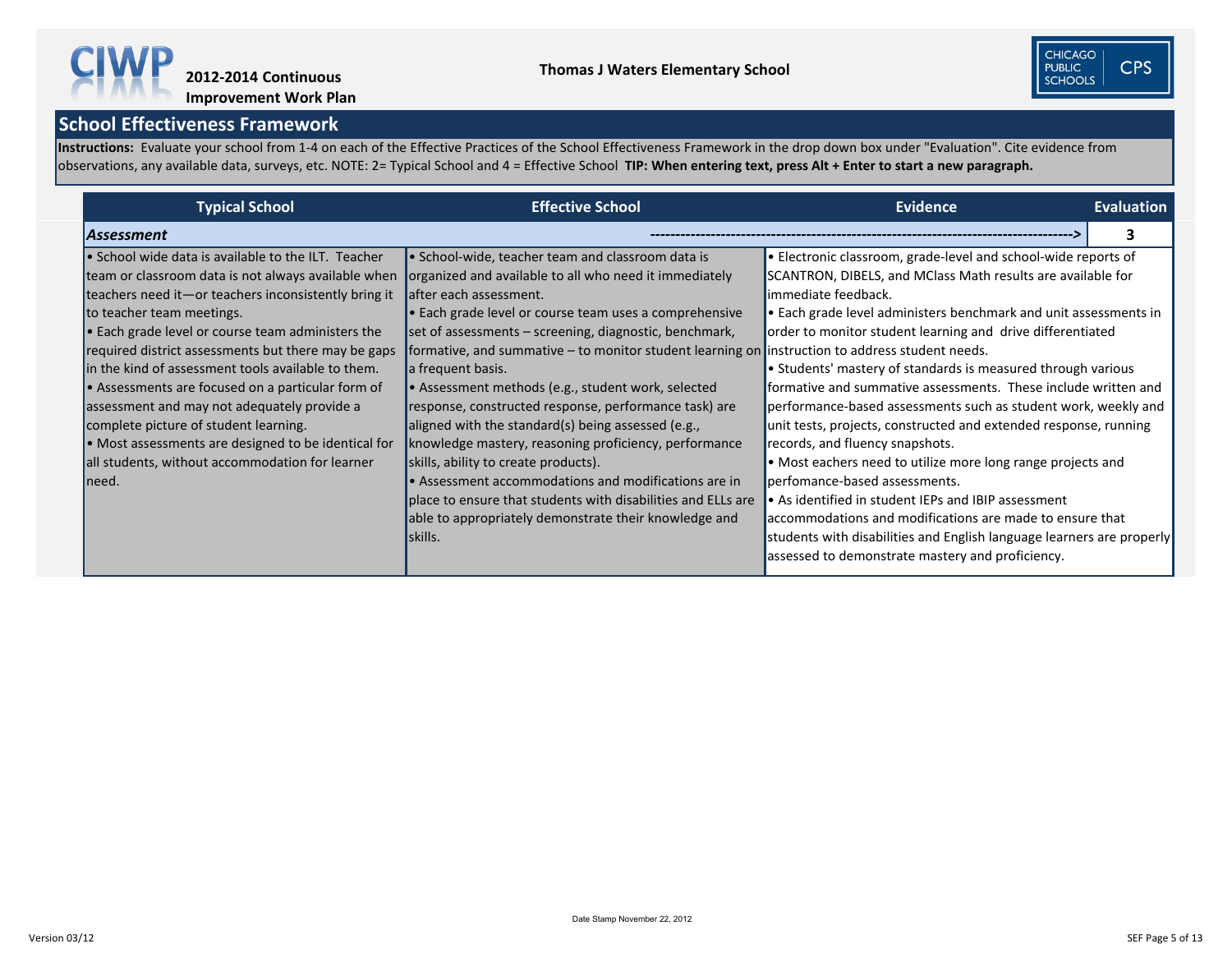**Instructions:** Evaluate your school from 1-4 on each of the Effective Practices of the School Effectiveness Framework in the drop down box under "Evaluation". Cite evidence from observations, any available data, surveys, etc. NOTE: 2= Typical School and 4 = Effective School **TIP: When entering text, press Alt + Enter to start a new paragraph.** 



| <b>Typical School</b>                                                                                                                                                                                                                                                                                                                                                                                                                                                                                                                                                                                                                              | <b>Effective School</b>                                                                                                                                                                                                                                                                                                                                                                                                                                                                                                                                                                                                                                                                                                                                                                                                                                       | <b>Evidence</b>                                                                                                                                                                                                                                                                                                                                                                                                                                                                                                                                                                                                                                                                                                                                                                                                                                                                                                                                                                          | <b>Evaluation</b> |
|----------------------------------------------------------------------------------------------------------------------------------------------------------------------------------------------------------------------------------------------------------------------------------------------------------------------------------------------------------------------------------------------------------------------------------------------------------------------------------------------------------------------------------------------------------------------------------------------------------------------------------------------------|---------------------------------------------------------------------------------------------------------------------------------------------------------------------------------------------------------------------------------------------------------------------------------------------------------------------------------------------------------------------------------------------------------------------------------------------------------------------------------------------------------------------------------------------------------------------------------------------------------------------------------------------------------------------------------------------------------------------------------------------------------------------------------------------------------------------------------------------------------------|------------------------------------------------------------------------------------------------------------------------------------------------------------------------------------------------------------------------------------------------------------------------------------------------------------------------------------------------------------------------------------------------------------------------------------------------------------------------------------------------------------------------------------------------------------------------------------------------------------------------------------------------------------------------------------------------------------------------------------------------------------------------------------------------------------------------------------------------------------------------------------------------------------------------------------------------------------------------------------------|-------------------|
| <b>Assessment</b>                                                                                                                                                                                                                                                                                                                                                                                                                                                                                                                                                                                                                                  |                                                                                                                                                                                                                                                                                                                                                                                                                                                                                                                                                                                                                                                                                                                                                                                                                                                               |                                                                                                                                                                                                                                                                                                                                                                                                                                                                                                                                                                                                                                                                                                                                                                                                                                                                                                                                                                                          |                   |
| $\bullet$ School wide data is available to the ILT. Teacher<br>team or classroom data is not always available when<br>teachers need it-or teachers inconsistently bring it<br>to teacher team meetings.<br>$\bullet$ Each grade level or course team administers the<br>required district assessments but there may be gaps<br>in the kind of assessment tools available to them.<br>• Assessments are focused on a particular form of<br>assessment and may not adequately provide a<br>complete picture of student learning.<br>• Most assessments are designed to be identical for<br>all students, without accommodation for learner<br>Ineed. | • School-wide, teacher team and classroom data is<br>organized and available to all who need it immediately<br>after each assessment.<br>• Each grade level or course team uses a comprehensive<br>set of assessments – screening, diagnostic, benchmark,<br>formative, and summative $-$ to monitor student learning on instruction to address student needs.<br>a frequent basis.<br>• Assessment methods (e.g., student work, selected<br>response, constructed response, performance task) are<br>aligned with the standard(s) being assessed (e.g.,<br>knowledge mastery, reasoning proficiency, performance<br>skills, ability to create products).<br>$\bullet$ Assessment accommodations and modifications are in<br>place to ensure that students with disabilities and ELLs are<br>able to appropriately demonstrate their knowledge and<br>skills. | $\cdot$ Electronic classroom, grade-level and school-wide reports of<br>SCANTRON, DIBELS, and MClass Math results are available for<br>limmediate feedback.<br>$\bullet$ Each grade level administers benchmark and unit assessments in<br>order to monitor student learning and drive differentiated<br>$\bullet$ Students' mastery of standards is measured through various<br>formative and summative assessments. These include written and<br>performance-based assessments such as student work, weekly and<br>unit tests, projects, constructed and extended response, running<br>records, and fluency snapshots.<br>$\bullet$ Most eachers need to utilize more long range projects and<br>perfomance-based assessments.<br>$\bullet$ As identified in student IEPs and IBIP assessment<br>accommodations and modifications are made to ensure that<br>students with disabilities and English language learners are properly<br>assessed to demonstrate mastery and proficiency. |                   |

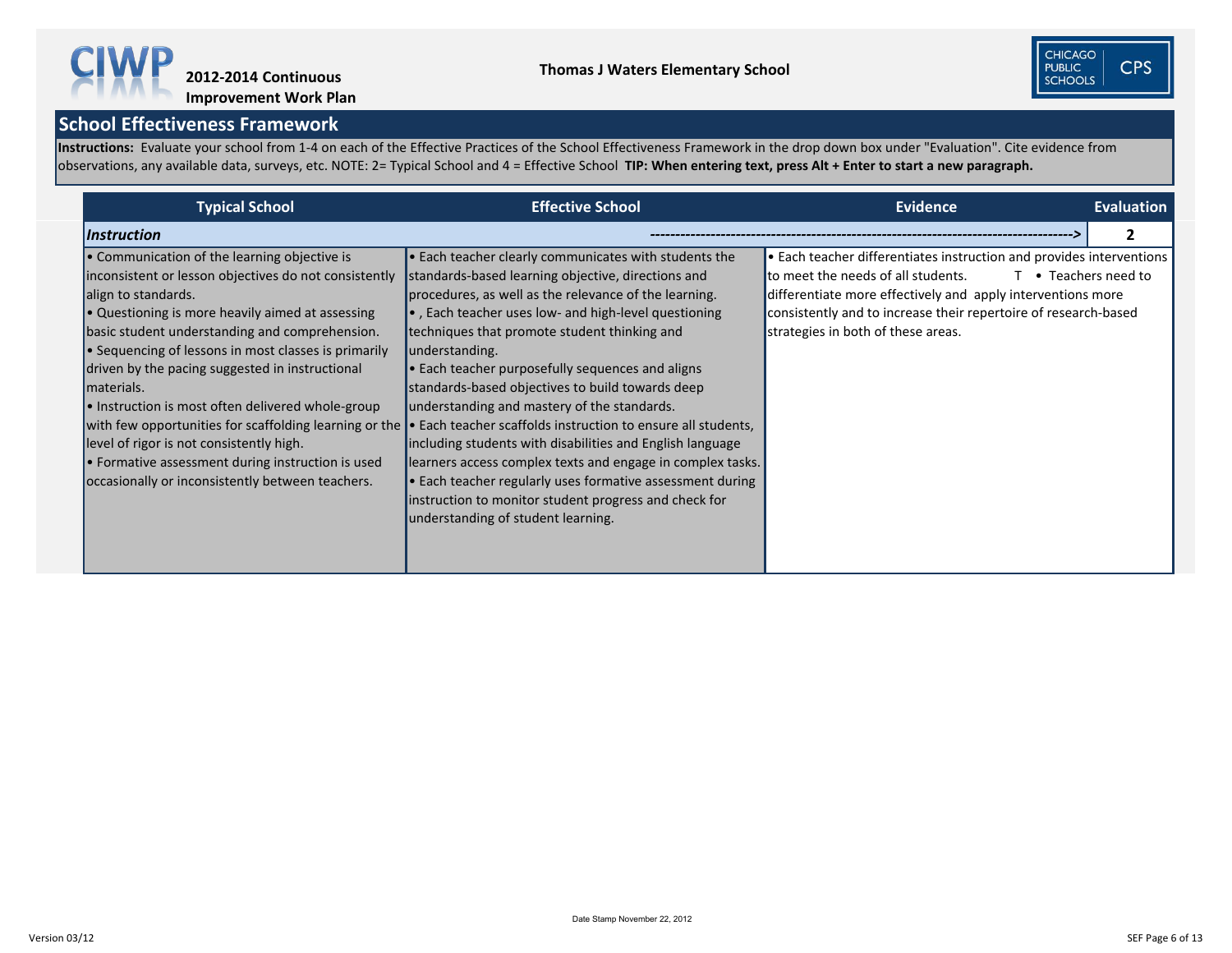Instructions: Evaluate your school from 1-4 on each of the Effective Practices of the School Effectiveness Framework in the drop down box under "Evaluation". Cite evidence from observations, any available data, surveys, etc. NOTE: 2= Typical School and 4 = Effective School **TIP: When entering text, press Alt + Enter to start a new paragraph.** 



| <b>Typical School</b>                                                                                                                                                                                                                                                                                                                                                                                                                                                                                                                                                                 | <b>Effective School</b>                                                                                                                                                                                                                                                                                                                                                                                                                                                                                                                                                                                                                                                                                                                                                                                                                                                                             | <b>Evidence</b>                                                                                                                                                                                                                                                                    | <b>Evaluation</b>    |
|---------------------------------------------------------------------------------------------------------------------------------------------------------------------------------------------------------------------------------------------------------------------------------------------------------------------------------------------------------------------------------------------------------------------------------------------------------------------------------------------------------------------------------------------------------------------------------------|-----------------------------------------------------------------------------------------------------------------------------------------------------------------------------------------------------------------------------------------------------------------------------------------------------------------------------------------------------------------------------------------------------------------------------------------------------------------------------------------------------------------------------------------------------------------------------------------------------------------------------------------------------------------------------------------------------------------------------------------------------------------------------------------------------------------------------------------------------------------------------------------------------|------------------------------------------------------------------------------------------------------------------------------------------------------------------------------------------------------------------------------------------------------------------------------------|----------------------|
| <i><b>Instruction</b></i>                                                                                                                                                                                                                                                                                                                                                                                                                                                                                                                                                             |                                                                                                                                                                                                                                                                                                                                                                                                                                                                                                                                                                                                                                                                                                                                                                                                                                                                                                     |                                                                                                                                                                                                                                                                                    |                      |
| • Communication of the learning objective is<br>inconsistent or lesson objectives do not consistently<br>align to standards.<br>$\bullet$ Questioning is more heavily aimed at assessing<br>basic student understanding and comprehension.<br>• Sequencing of lessons in most classes is primarily<br>driven by the pacing suggested in instructional<br>materials.<br>• Instruction is most often delivered whole-group<br>level of rigor is not consistently high.<br>$\bullet$ Formative assessment during instruction is used<br>occasionally or inconsistently between teachers. | $\bullet$ Each teacher clearly communicates with students the<br>standards-based learning objective, directions and<br>procedures, as well as the relevance of the learning.<br>•, Each teacher uses low- and high-level questioning<br>techniques that promote student thinking and<br>understanding.<br>$\bullet$ Each teacher purposefully sequences and aligns<br>standards-based objectives to build towards deep<br>understanding and mastery of the standards.<br>with few opportunities for scaffolding learning or the $\bullet$ Each teacher scaffolds instruction to ensure all students,<br>including students with disabilities and English language<br>learners access complex texts and engage in complex tasks.<br>$\bullet$ Each teacher regularly uses formative assessment during<br>instruction to monitor student progress and check for<br>understanding of student learning. | • Each teacher differentiates instruction and provides interventions<br>to meet the needs of all students.<br>differentiate more effectively and apply interventions more<br>consistently and to increase their repertoire of research-based<br>strategies in both of these areas. | T • Teachers need to |



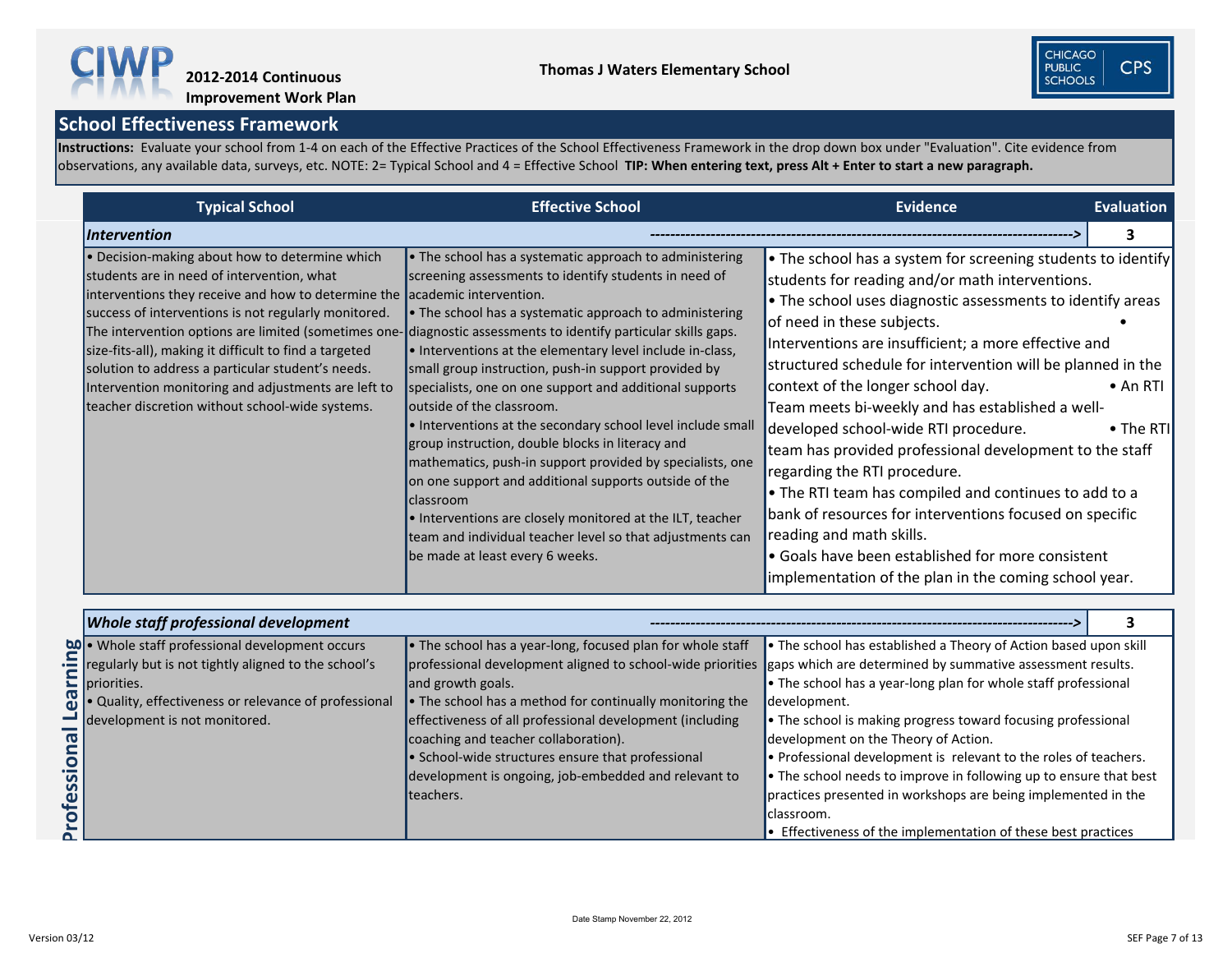**Instructions:** Evaluate your school from 1-4 on each of the Effective Practices of the School Effectiveness Framework in the drop down box under "Evaluation". Cite evidence from observations, any available data, surveys, etc. NOTE: 2= Typical School and 4 = Effective School **TIP: When entering text, press Alt + Enter to start a new paragraph.** 



**Improvement Work Plan**

| <b>Typical School</b>                                                                                                                                                                                                                                                                                                                                                                                                                                                                        | <b>Effective School</b>                                                                                                                                                                                                                                                                                                                                                                                                                                                                                                                                                                                                                                                                                                                                                                                                                                                                             | <b>Evidence</b>                                                                                                                                                                                                                                                                                                                                                                                                                                                                                                                                                                                                                                                                                                                                                                                                              | <b>Evaluation</b>             |
|----------------------------------------------------------------------------------------------------------------------------------------------------------------------------------------------------------------------------------------------------------------------------------------------------------------------------------------------------------------------------------------------------------------------------------------------------------------------------------------------|-----------------------------------------------------------------------------------------------------------------------------------------------------------------------------------------------------------------------------------------------------------------------------------------------------------------------------------------------------------------------------------------------------------------------------------------------------------------------------------------------------------------------------------------------------------------------------------------------------------------------------------------------------------------------------------------------------------------------------------------------------------------------------------------------------------------------------------------------------------------------------------------------------|------------------------------------------------------------------------------------------------------------------------------------------------------------------------------------------------------------------------------------------------------------------------------------------------------------------------------------------------------------------------------------------------------------------------------------------------------------------------------------------------------------------------------------------------------------------------------------------------------------------------------------------------------------------------------------------------------------------------------------------------------------------------------------------------------------------------------|-------------------------------|
| Intervention                                                                                                                                                                                                                                                                                                                                                                                                                                                                                 |                                                                                                                                                                                                                                                                                                                                                                                                                                                                                                                                                                                                                                                                                                                                                                                                                                                                                                     |                                                                                                                                                                                                                                                                                                                                                                                                                                                                                                                                                                                                                                                                                                                                                                                                                              | 3                             |
| • Decision-making about how to determine which<br>students are in need of intervention, what<br>interventions they receive and how to determine the<br>success of interventions is not regularly monitored.<br>The intervention options are limited (sometimes one-<br>size-fits-all), making it difficult to find a targeted<br>solution to address a particular student's needs.<br>Intervention monitoring and adjustments are left to<br>teacher discretion without school-wide systems. | • The school has a systematic approach to administering<br>screening assessments to identify students in need of<br>academic intervention.<br>• The school has a systematic approach to administering<br>diagnostic assessments to identify particular skills gaps.<br>. Interventions at the elementary level include in-class,<br>small group instruction, push-in support provided by<br>specialists, one on one support and additional supports<br>outside of the classroom.<br>• Interventions at the secondary school level include small<br>group instruction, double blocks in literacy and<br>mathematics, push-in support provided by specialists, one<br>on one support and additional supports outside of the<br>classroom<br>• Interventions are closely monitored at the ILT, teacher<br>team and individual teacher level so that adjustments can<br>be made at least every 6 weeks. | • The school has a system for screening students to identify<br>students for reading and/or math interventions.<br>• The school uses diagnostic assessments to identify areas<br>of need in these subjects.<br>Interventions are insufficient; a more effective and<br>structured schedule for intervention will be planned in the<br>context of the longer school day.<br>Team meets bi-weekly and has established a well-<br>developed school-wide RTI procedure.<br>team has provided professional development to the staff<br>regarding the RTI procedure.<br>• The RTI team has compiled and continues to add to a<br>bank of resources for interventions focused on specific<br>reading and math skills.<br>• Goals have been established for more consistent<br>implementation of the plan in the coming school year. | $\bullet$ An RTI<br>• The RTI |
|                                                                                                                                                                                                                                                                                                                                                                                                                                                                                              |                                                                                                                                                                                                                                                                                                                                                                                                                                                                                                                                                                                                                                                                                                                                                                                                                                                                                                     |                                                                                                                                                                                                                                                                                                                                                                                                                                                                                                                                                                                                                                                                                                                                                                                                                              |                               |
| <b>Whole staff professional development</b><br><b>O</b> • Whole staff professional development occurs<br>regularly but is not tightly aligned to the school's<br>priorities.<br>• Quality, effectiveness or relevance of professional<br>development is not monitored.                                                                                                                                                                                                                       | $\bullet$ The school has a year-long, focused plan for whole staff<br>professional development aligned to school-wide priorities gaps which are determined by summative assessment results.<br>and growth goals.<br>• The school has a method for continually monitoring the<br>effectiveness of all professional development (including<br>coaching and teacher collaboration).<br>• School-wide structures ensure that professional<br>development is ongoing, job-embedded and relevant to<br>teachers.                                                                                                                                                                                                                                                                                                                                                                                          | • The school has established a Theory of Action based upon skill<br>$\bullet$ The school has a year-long plan for whole staff professional<br>development.<br>• The school is making progress toward focusing professional<br>development on the Theory of Action.<br>• Professional development is relevant to the roles of teachers.<br>• The school needs to improve in following up to ensure that best<br>practices presented in workshops are being implemented in the<br>classroom.<br>• Effectiveness of the implementation of these best practices                                                                                                                                                                                                                                                                  |                               |

|                       | <b>Whole staff professional development</b>                                                     |                                                                                        |                                       |
|-----------------------|-------------------------------------------------------------------------------------------------|----------------------------------------------------------------------------------------|---------------------------------------|
|                       | Whole staff professional development occurs<br>Figure but is not tightly aligned to the school' | • The school has a year-long, focused plan for whole staff                             | • The school has established          |
|                       | regularly but is not tightly aligned to the school's                                            | professional development aligned to school-wide priorities gaps which are determined b |                                       |
|                       | $\mathbf{E}$ priorities.                                                                        | and growth goals.                                                                      | $\bullet$ The school has a year-long  |
|                       | Quality, effectiveness or relevance of professional                                             | • The school has a method for continually monitoring the                               | development.                          |
|                       | development is not monitored.                                                                   | effectiveness of all professional development (including                               | $\bullet$ The school is making progre |
| $\boldsymbol{\sigma}$ |                                                                                                 | coaching and teacher collaboration).                                                   | development on the Theory of          |
|                       |                                                                                                 | • School-wide structures ensure that professional                                      | • Professional development i          |
|                       |                                                                                                 | development is ongoing, job-embedded and relevant to                                   | • The school needs to improv          |
|                       |                                                                                                 | teachers.                                                                              | practices presented in works          |
| rofessio              |                                                                                                 |                                                                                        | lclassroom.                           |
| n                     |                                                                                                 |                                                                                        | $\bullet$ Effectiveness of the impler |
|                       |                                                                                                 |                                                                                        |                                       |
|                       |                                                                                                 |                                                                                        |                                       |



**CPS**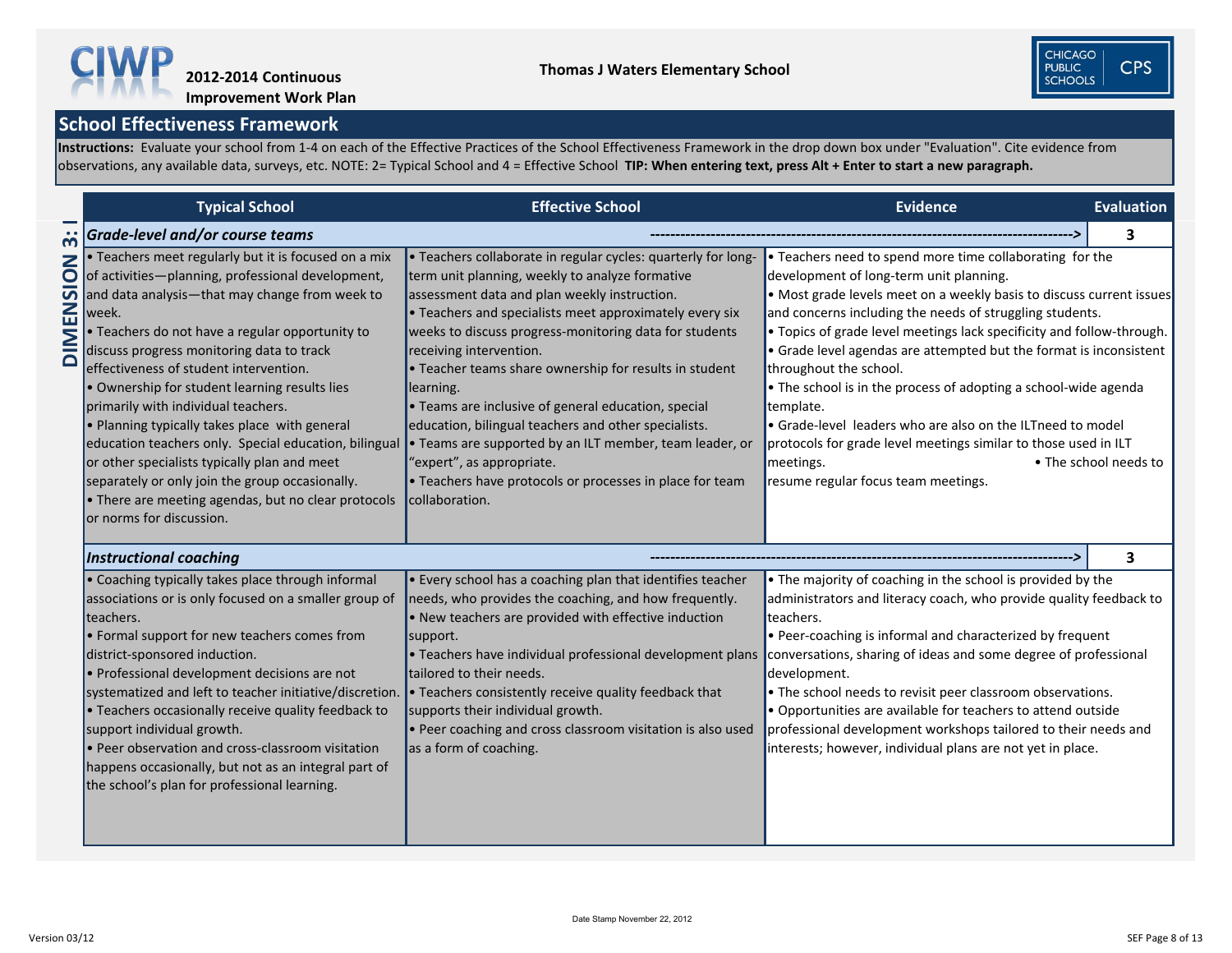

|            | School Effectiveness Framework                                                                                                                                                                                                                                                                                                                                                                                                                                                                                                                                                                                                                                                                                                        |                                                                                                                                                                                                                                                                                                                                                                                                                                                                                                                                                                                                                                                                                                    |                                                                                                                                                                                                                                                                                                                                                                                                                                                                                                                                                                                                                                                                                                       |                       |
|------------|---------------------------------------------------------------------------------------------------------------------------------------------------------------------------------------------------------------------------------------------------------------------------------------------------------------------------------------------------------------------------------------------------------------------------------------------------------------------------------------------------------------------------------------------------------------------------------------------------------------------------------------------------------------------------------------------------------------------------------------|----------------------------------------------------------------------------------------------------------------------------------------------------------------------------------------------------------------------------------------------------------------------------------------------------------------------------------------------------------------------------------------------------------------------------------------------------------------------------------------------------------------------------------------------------------------------------------------------------------------------------------------------------------------------------------------------------|-------------------------------------------------------------------------------------------------------------------------------------------------------------------------------------------------------------------------------------------------------------------------------------------------------------------------------------------------------------------------------------------------------------------------------------------------------------------------------------------------------------------------------------------------------------------------------------------------------------------------------------------------------------------------------------------------------|-----------------------|
|            |                                                                                                                                                                                                                                                                                                                                                                                                                                                                                                                                                                                                                                                                                                                                       | nstructions: Evaluate your school from 1-4 on each of the Effective Practices of the School Effectiveness Framework in the drop down box under "Evaluation". Cite evidence from<br>bbservations, any available data, surveys, etc. NOTE: 2= Typical School and 4 = Effective School TIP: When entering text, press Alt + Enter to start a new paragraph.                                                                                                                                                                                                                                                                                                                                           |                                                                                                                                                                                                                                                                                                                                                                                                                                                                                                                                                                                                                                                                                                       |                       |
|            |                                                                                                                                                                                                                                                                                                                                                                                                                                                                                                                                                                                                                                                                                                                                       |                                                                                                                                                                                                                                                                                                                                                                                                                                                                                                                                                                                                                                                                                                    |                                                                                                                                                                                                                                                                                                                                                                                                                                                                                                                                                                                                                                                                                                       |                       |
|            | <b>Typical School</b>                                                                                                                                                                                                                                                                                                                                                                                                                                                                                                                                                                                                                                                                                                                 | <b>Effective School</b>                                                                                                                                                                                                                                                                                                                                                                                                                                                                                                                                                                                                                                                                            | <b>Evidence</b>                                                                                                                                                                                                                                                                                                                                                                                                                                                                                                                                                                                                                                                                                       | <b>Evaluation</b>     |
| <u>ന്</u>  | <b>Grade-level and/or course teams</b>                                                                                                                                                                                                                                                                                                                                                                                                                                                                                                                                                                                                                                                                                                |                                                                                                                                                                                                                                                                                                                                                                                                                                                                                                                                                                                                                                                                                                    |                                                                                                                                                                                                                                                                                                                                                                                                                                                                                                                                                                                                                                                                                                       | 3.                    |
| $\bigcirc$ | . Teachers meet regularly but it is focused on a mix<br>of activities-planning, professional development,<br>$\overline{O}$ and data analysis—that may change from week to<br>week.<br>• Teachers do not have a regular opportunity to<br>discuss progress monitoring data to track<br>effectiveness of student intervention.<br>• Ownership for student learning results lies<br>primarily with individual teachers.<br>$\bullet$ Planning typically takes place with general<br>education teachers only. Special education, bilingual<br>or other specialists typically plan and meet<br>separately or only join the group occasionally.<br>$\bullet$ There are meeting agendas, but no clear protocols<br>or norms for discussion. | . Teachers collaborate in regular cycles: quarterly for long-<br>term unit planning, weekly to analyze formative<br>assessment data and plan weekly instruction.<br>$\bullet$ Teachers and specialists meet approximately every six<br>weeks to discuss progress-monitoring data for students<br>receiving intervention.<br>$\cdot$ Teacher teams share ownership for results in student<br>learning.<br>$\bullet$ Teams are inclusive of general education, special<br>education, bilingual teachers and other specialists.<br>• Teams are supported by an ILT member, team leader, or<br>"expert", as appropriate.<br>• Teachers have protocols or processes in place for team<br>collaboration. | • Teachers need to spend more time collaborating for the<br>development of long-term unit planning.<br>• Most grade levels meet on a weekly basis to discuss current issues<br>and concerns including the needs of struggling students.<br>• Topics of grade level meetings lack specificity and follow-through.<br>$\bullet$ Grade level agendas are attempted but the format is inconsistent<br>throughout the school.<br>$\bullet$ The school is in the process of adopting a school-wide agenda<br>template.<br>• Grade-level leaders who are also on the ILTneed to model<br>protocols for grade level meetings similar to those used in ILT<br>meetings.<br>resume regular focus team meetings. | • The school needs to |
|            | <b>Instructional coaching</b>                                                                                                                                                                                                                                                                                                                                                                                                                                                                                                                                                                                                                                                                                                         |                                                                                                                                                                                                                                                                                                                                                                                                                                                                                                                                                                                                                                                                                                    |                                                                                                                                                                                                                                                                                                                                                                                                                                                                                                                                                                                                                                                                                                       |                       |
|            | $\bullet$ Coaching typically takes place through informal<br>associations or is only focused on a smaller group of<br>teachers.<br>• Formal support for new teachers comes from<br>district-sponsored induction.<br>• Professional development decisions are not<br>systematized and left to teacher initiative/discretion.<br>• Teachers occasionally receive quality feedback to<br>support individual growth.<br>• Peer observation and cross-classroom visitation<br>happens occasionally, but not as an integral part of<br>the school's plan for professional learning.                                                                                                                                                         | $\blacktriangleright$ Every school has a coaching plan that identifies teacher<br>needs, who provides the coaching, and how frequently.<br>$\bullet$ New teachers are provided with effective induction<br>support.<br>$\bullet$ Teachers have individual professional development plans<br>tailored to their needs.<br>$\bullet$ Teachers consistently receive quality feedback that<br>supports their individual growth.<br>$\bullet$ Peer coaching and cross classroom visitation is also used<br>as a form of coaching.                                                                                                                                                                        | $\bullet$ The majority of coaching in the school is provided by the<br>administrators and literacy coach, who provide quality feedback to<br>teachers.<br>• Peer-coaching is informal and characterized by frequent<br>conversations, sharing of ideas and some degree of professional<br>development.<br>• The school needs to revisit peer classroom observations.<br>• Opportunities are available for teachers to attend outside<br>professional development workshops tailored to their needs and<br>interests; however, individual plans are not yet in place.                                                                                                                                  |                       |

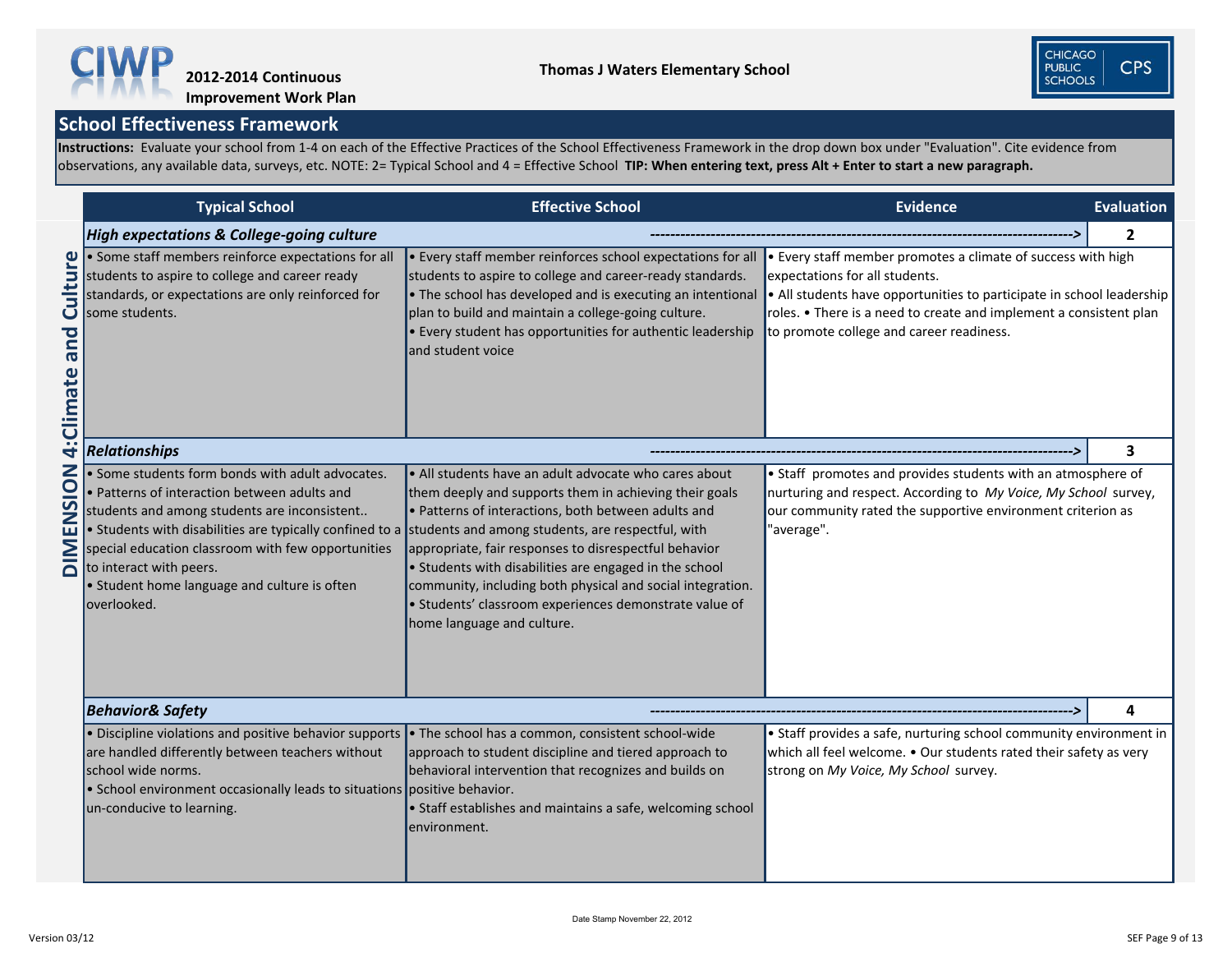**Instructions:** Evaluate your school from 1-4 on each of the Effective Practices of the School Effectiveness Framework in the drop down box under "Evaluation". Cite evidence from observations, any available data, surveys, etc. NOTE: 2= Typical School and 4 = Effective School **TIP: When entering text, press Alt + Enter to start a new paragraph.** 



|                             | <b>Typical School</b>                                                                                                                                                                                                                                                                                                                                                                                           | <b>Effective School</b>                                                                                                                                                                                                                                                                                                          | <b>Evidence</b>                                                                                                                                                                                                                                                                           | Evaluation   |
|-----------------------------|-----------------------------------------------------------------------------------------------------------------------------------------------------------------------------------------------------------------------------------------------------------------------------------------------------------------------------------------------------------------------------------------------------------------|----------------------------------------------------------------------------------------------------------------------------------------------------------------------------------------------------------------------------------------------------------------------------------------------------------------------------------|-------------------------------------------------------------------------------------------------------------------------------------------------------------------------------------------------------------------------------------------------------------------------------------------|--------------|
|                             | <b>High expectations &amp; College-going culture</b>                                                                                                                                                                                                                                                                                                                                                            |                                                                                                                                                                                                                                                                                                                                  |                                                                                                                                                                                                                                                                                           | $\mathbf{2}$ |
| bue<br>Climate              | • Some staff members reinforce expectations for all<br>students to aspire to college and career ready<br>standards, or expectations are only reinforced for<br>some students.                                                                                                                                                                                                                                   | • Every staff member reinforces school expectations for all<br>students to aspire to college and career-ready standards.<br>• The school has developed and is executing an intentional<br>plan to build and maintain a college-going culture.<br>• Every student has opportunities for authentic leadership<br>and student voice | • Every staff member promotes a climate of success with high<br>expectations for all students.<br>• All students have opportunities to participate in school leadership<br>roles. • There is a need to create and implement a consistent plan<br>to promote college and career readiness. |              |
| 4                           | <b>Relationships</b>                                                                                                                                                                                                                                                                                                                                                                                            |                                                                                                                                                                                                                                                                                                                                  |                                                                                                                                                                                                                                                                                           |              |
| <b>NOISNE</b><br><b>MIQ</b> | • Some students form bonds with adult advocates.<br>• Patterns of interaction between adults and<br>students and among students are inconsistent<br>• Students with disabilities are typically confined to a students and among students, are respectful, with<br>special education classroom with few opportunities<br>to interact with peers.<br>• Student home language and culture is often<br>loverlooked. | • Staff promotes and provides students with an atmosphere of<br>nurturing and respect. According to My Voice, My School survey,<br>our community rated the supportive environment criterion as<br>"average".                                                                                                                     |                                                                                                                                                                                                                                                                                           |              |
|                             | <b>Behavior&amp; Safety</b>                                                                                                                                                                                                                                                                                                                                                                                     |                                                                                                                                                                                                                                                                                                                                  |                                                                                                                                                                                                                                                                                           | 4            |
|                             | • Discipline violations and positive behavior supports<br>are handled differently between teachers without<br>school wide norms.<br>• School environment occasionally leads to situations positive behavior.<br>un-conducive to learning.                                                                                                                                                                       | • The school has a common, consistent school-wide<br>approach to student discipline and tiered approach to<br>behavioral intervention that recognizes and builds on<br>• Staff establishes and maintains a safe, welcoming school<br>environment.                                                                                | • Staff provides a safe, nurturing school community environment in<br>which all feel welcome. • Our students rated their safety as very<br>strong on My Voice, My School survey.                                                                                                          |              |

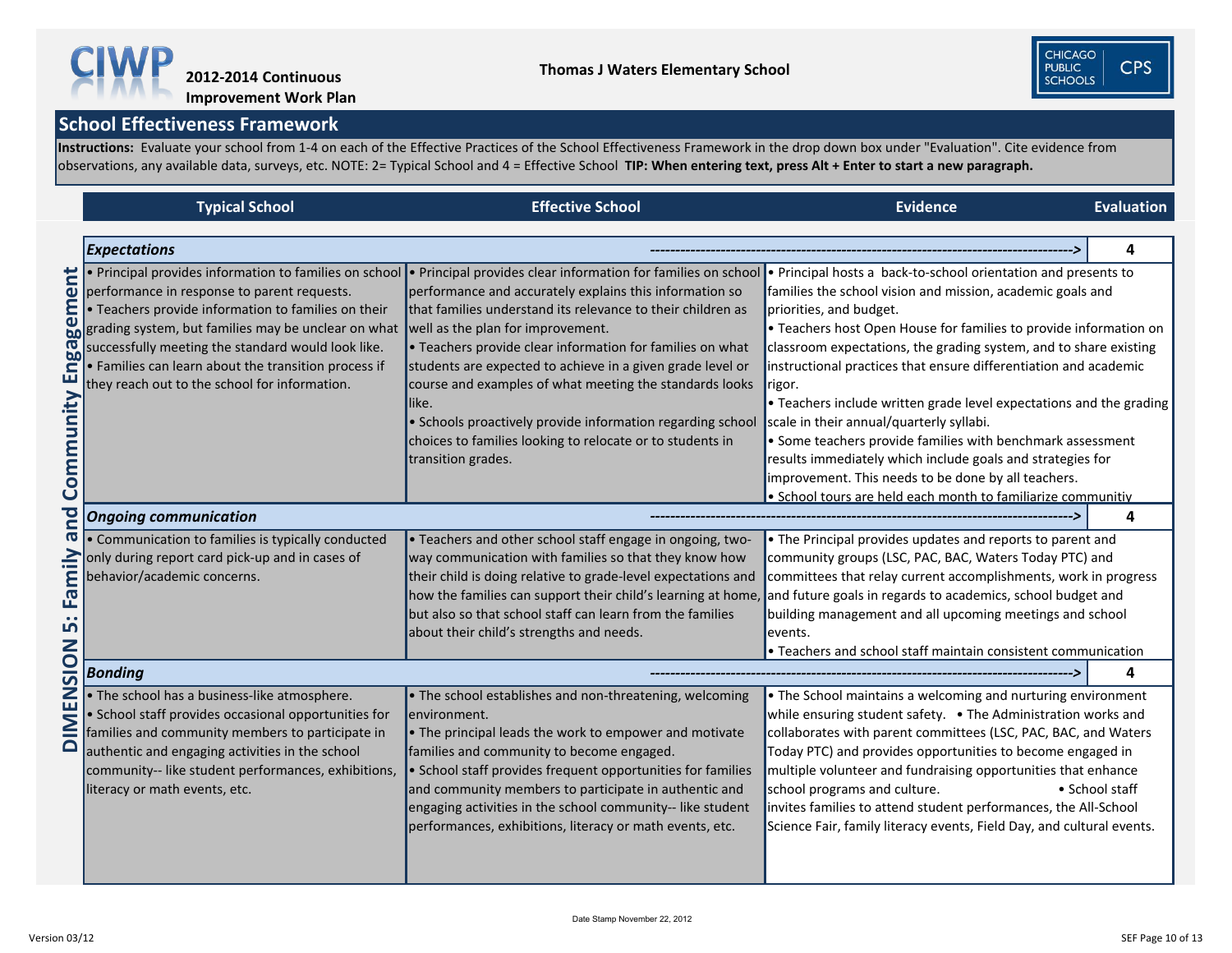**Instructions:** Evaluate your school from 1-4 on each of the Effective Practices of the School Effectiveness Framework in the drop down box under "Evaluation". Cite evidence from observations, any available data, surveys, etc. NOTE: 2= Typical School and 4 = Effective School **TIP: When entering text, press Alt + Enter to start a new paragraph.** 



**Improvement Work Plan**

|                                                          | <b>Typical School</b>                                                                                                                                                                                                                                                                                                                                                                                                                                                   | <b>Effective School</b>                                                                                                                                                                                                                                                                                                                                                                                                                                                                                                                  | <b>Evidence</b>                                                                                                                                                                                                                                                                                                                                                                                                                                                                                                                                                                                                                                                                                                                                       | <b>Evaluation</b> |
|----------------------------------------------------------|-------------------------------------------------------------------------------------------------------------------------------------------------------------------------------------------------------------------------------------------------------------------------------------------------------------------------------------------------------------------------------------------------------------------------------------------------------------------------|------------------------------------------------------------------------------------------------------------------------------------------------------------------------------------------------------------------------------------------------------------------------------------------------------------------------------------------------------------------------------------------------------------------------------------------------------------------------------------------------------------------------------------------|-------------------------------------------------------------------------------------------------------------------------------------------------------------------------------------------------------------------------------------------------------------------------------------------------------------------------------------------------------------------------------------------------------------------------------------------------------------------------------------------------------------------------------------------------------------------------------------------------------------------------------------------------------------------------------------------------------------------------------------------------------|-------------------|
|                                                          | <b>Expectations</b>                                                                                                                                                                                                                                                                                                                                                                                                                                                     |                                                                                                                                                                                                                                                                                                                                                                                                                                                                                                                                          |                                                                                                                                                                                                                                                                                                                                                                                                                                                                                                                                                                                                                                                                                                                                                       |                   |
| ent<br>Enga<br>unity<br>Comm                             | • Principal provides information to families on school<br>performance in response to parent requests.<br>E • Teachers provide information to families on their that families understand its releval $\omega$ grading system, but families may be unclear on what well as the plan for improvement.<br>successfully meeting the standard would look like.<br>$\cdot$ Families can learn about the transition process if<br>they reach out to the school for information. | . Principal provides clear information for families on school<br>performance and accurately explains this information so<br>that families understand its relevance to their children as<br>• Teachers provide clear information for families on what<br>students are expected to achieve in a given grade level or<br>course and examples of what meeting the standards looks<br>llike.<br>• Schools proactively provide information regarding school<br>choices to families looking to relocate or to students in<br>transition grades. | • Principal hosts a back-to-school orientation and presents to<br>families the school vision and mission, academic goals and<br>priorities, and budget.<br>• Teachers host Open House for families to provide information on<br>classroom expectations, the grading system, and to share existing<br>instructional practices that ensure differentiation and academic<br>rigor.<br>• Teachers include written grade level expectations and the grading<br>scale in their annual/quarterly syllabi.<br>• Some teachers provide families with benchmark assessment<br>results immediately which include goals and strategies for<br>improvement. This needs to be done by all teachers.<br>• School tours are held each month to familiarize communitiy |                   |
| <u>o</u>                                                 | <b>Ongoing communication</b>                                                                                                                                                                                                                                                                                                                                                                                                                                            |                                                                                                                                                                                                                                                                                                                                                                                                                                                                                                                                          |                                                                                                                                                                                                                                                                                                                                                                                                                                                                                                                                                                                                                                                                                                                                                       |                   |
| $\boldsymbol{\sigma}$<br><u>ទ</u><br>인<br><u>In</u><br>Ζ | • Communication to families is typically conducted<br>only during report card pick-up and in cases of<br>behavior/academic concerns.                                                                                                                                                                                                                                                                                                                                    | • Teachers and other school staff engage in ongoing, two-<br>way communication with families so that they know how<br>their child is doing relative to grade-level expectations and<br>how the families can support their child's learning at home, and future goals in regards to academics, school budget and<br>but also so that school staff can learn from the families<br>about their child's strengths and needs.                                                                                                                 | • The Principal provides updates and reports to parent and<br>community groups (LSC, PAC, BAC, Waters Today PTC) and<br>committees that relay current accomplishments, work in progress<br>building management and all upcoming meetings and school<br>events.<br>$\bullet$ Teachers and school staff maintain consistent communication                                                                                                                                                                                                                                                                                                                                                                                                               |                   |
| $\frac{1}{2}$                                            | <b>Bonding</b>                                                                                                                                                                                                                                                                                                                                                                                                                                                          |                                                                                                                                                                                                                                                                                                                                                                                                                                                                                                                                          |                                                                                                                                                                                                                                                                                                                                                                                                                                                                                                                                                                                                                                                                                                                                                       | 4                 |
| <b>NENIC</b>                                             | • The school has a business-like atmosphere.<br>• School staff provides occasional opportunities for<br>families and community members to participate in<br>authentic and engaging activities in the school<br>community-- like student performances, exhibitions,<br>literacy or math events, etc.                                                                                                                                                                     | • The school establishes and non-threatening, welcoming<br>environment.<br>$\bullet$ The principal leads the work to empower and motivate<br>families and community to become engaged.<br>• School staff provides frequent opportunities for families<br>and community members to participate in authentic and<br>engaging activities in the school community-- like student<br>performances, exhibitions, literacy or math events, etc.                                                                                                 | • The School maintains a welcoming and nurturing environment<br>while ensuring student safety. • The Administration works and<br>collaborates with parent committees (LSC, PAC, BAC, and Waters<br>Today PTC) and provides opportunities to become engaged in<br>multiple volunteer and fundraising opportunities that enhance<br>school programs and culture.<br>• School staff<br>invites families to attend student performances, the All-School<br>Science Fair, family literacy events, Field Day, and cultural events.                                                                                                                                                                                                                          |                   |



**CPS**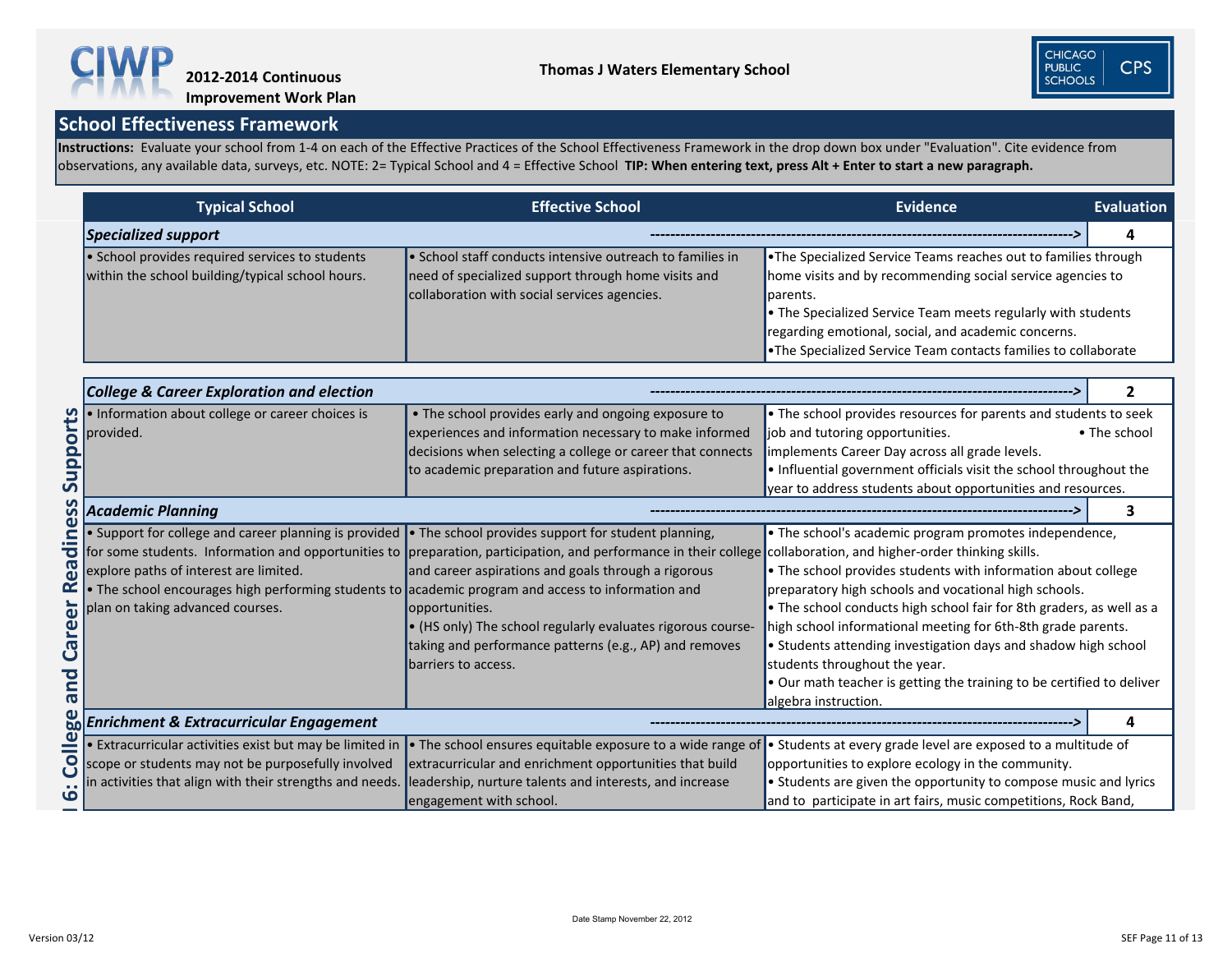**Instructions:** Evaluate your school from 1-4 on each of the Effective Practices of the School Effectiveness Framework in the drop down box under "Evaluation". Cite evidence from observations, any available data, surveys, etc. NOTE: 2= Typical School and 4 = Effective School **TIP: When entering text, press Alt + Enter to start a new paragraph.** 



# **Improvement Work Plan**

|                                                | <b>Typical School</b>                                                                                                                                                                                                                                                                                                     | <b>Effective School</b>                                                                                                                                                                                                                                                                                                                                                                                        | <b>Evidence</b>                                                                                                                                                                                                                                                                                                                                                                                                                                                                                                              | <b>Evaluation</b> |
|------------------------------------------------|---------------------------------------------------------------------------------------------------------------------------------------------------------------------------------------------------------------------------------------------------------------------------------------------------------------------------|----------------------------------------------------------------------------------------------------------------------------------------------------------------------------------------------------------------------------------------------------------------------------------------------------------------------------------------------------------------------------------------------------------------|------------------------------------------------------------------------------------------------------------------------------------------------------------------------------------------------------------------------------------------------------------------------------------------------------------------------------------------------------------------------------------------------------------------------------------------------------------------------------------------------------------------------------|-------------------|
|                                                | <b>Specialized support</b>                                                                                                                                                                                                                                                                                                |                                                                                                                                                                                                                                                                                                                                                                                                                |                                                                                                                                                                                                                                                                                                                                                                                                                                                                                                                              | $\mathbf 4$       |
|                                                | • School provides required services to students<br>within the school building/typical school hours.                                                                                                                                                                                                                       | • School staff conducts intensive outreach to families in<br>need of specialized support through home visits and<br>collaboration with social services agencies.                                                                                                                                                                                                                                               | . The Specialized Service Teams reaches out to families through<br>home visits and by recommending social service agencies to<br>parents.<br>• The Specialized Service Team meets regularly with students<br>regarding emotional, social, and academic concerns.<br>. The Specialized Service Team contacts families to collaborate                                                                                                                                                                                          |                   |
|                                                | <b>College &amp; Career Exploration and election</b>                                                                                                                                                                                                                                                                      |                                                                                                                                                                                                                                                                                                                                                                                                                |                                                                                                                                                                                                                                                                                                                                                                                                                                                                                                                              | $\mathbf{2}$      |
| Supports                                       | . Information about college or career choices is<br>provided.                                                                                                                                                                                                                                                             | • The school provides early and ongoing exposure to<br>experiences and information necessary to make informed<br>decisions when selecting a college or career that connects<br>to academic preparation and future aspirations.                                                                                                                                                                                 | . The school provides resources for parents and students to seek<br>job and tutoring opportunities.<br>implements Career Day across all grade levels.<br>. Influential government officials visit the school throughout the<br>year to address students about opportunities and resources.                                                                                                                                                                                                                                   | • The school      |
| <u>ဟိ</u>                                      | <b>Academic Planning</b>                                                                                                                                                                                                                                                                                                  |                                                                                                                                                                                                                                                                                                                                                                                                                |                                                                                                                                                                                                                                                                                                                                                                                                                                                                                                                              | З                 |
| $\bar{a}$<br>69<br>areer<br>$\mathbf C$<br>bue | • Support for college and career planning is provided $\bullet$ The school provides support for student planning,<br>explore paths of interest are limited.<br>$\blacktriangleright$ The school encourages high performing students to academic program and access to information and<br>plan on taking advanced courses. | for some students. Information and opportunities to preparation, participation, and performance in their college collaboration, and higher-order thinking skills.<br>and career aspirations and goals through a rigorous<br>opportunities.<br>$\blacktriangleright$ (HS only) The school regularly evaluates rigorous course-<br>taking and performance patterns (e.g., AP) and removes<br>barriers to access. | • The school's academic program promotes independence,<br>• The school provides students with information about college<br>preparatory high schools and vocational high schools.<br>• The school conducts high school fair for 8th graders, as well as a<br>high school informational meeting for 6th-8th grade parents.<br>• Students attending investigation days and shadow high school<br>students throughout the year.<br>. Our math teacher is getting the training to be certified to deliver<br>algebra instruction. |                   |
|                                                | <b>Enrichment &amp; Extracurricular Engagement</b>                                                                                                                                                                                                                                                                        |                                                                                                                                                                                                                                                                                                                                                                                                                |                                                                                                                                                                                                                                                                                                                                                                                                                                                                                                                              | 4                 |
| <b>College</b><br>9                            | • Extracurricular activities exist but may be limited in<br>scope or students may not be purposefully involved<br>in activities that align with their strengths and needs.                                                                                                                                                | • The school ensures equitable exposure to a wide range of<br>extracurricular and enrichment opportunities that build<br>leadership, nurture talents and interests, and increase<br>engagement with school.                                                                                                                                                                                                    | • Students at every grade level are exposed to a multitude of<br>opportunities to explore ecology in the community.<br>• Students are given the opportunity to compose music and lyrics<br>and to participate in art fairs, music competitions, Rock Band,                                                                                                                                                                                                                                                                   |                   |

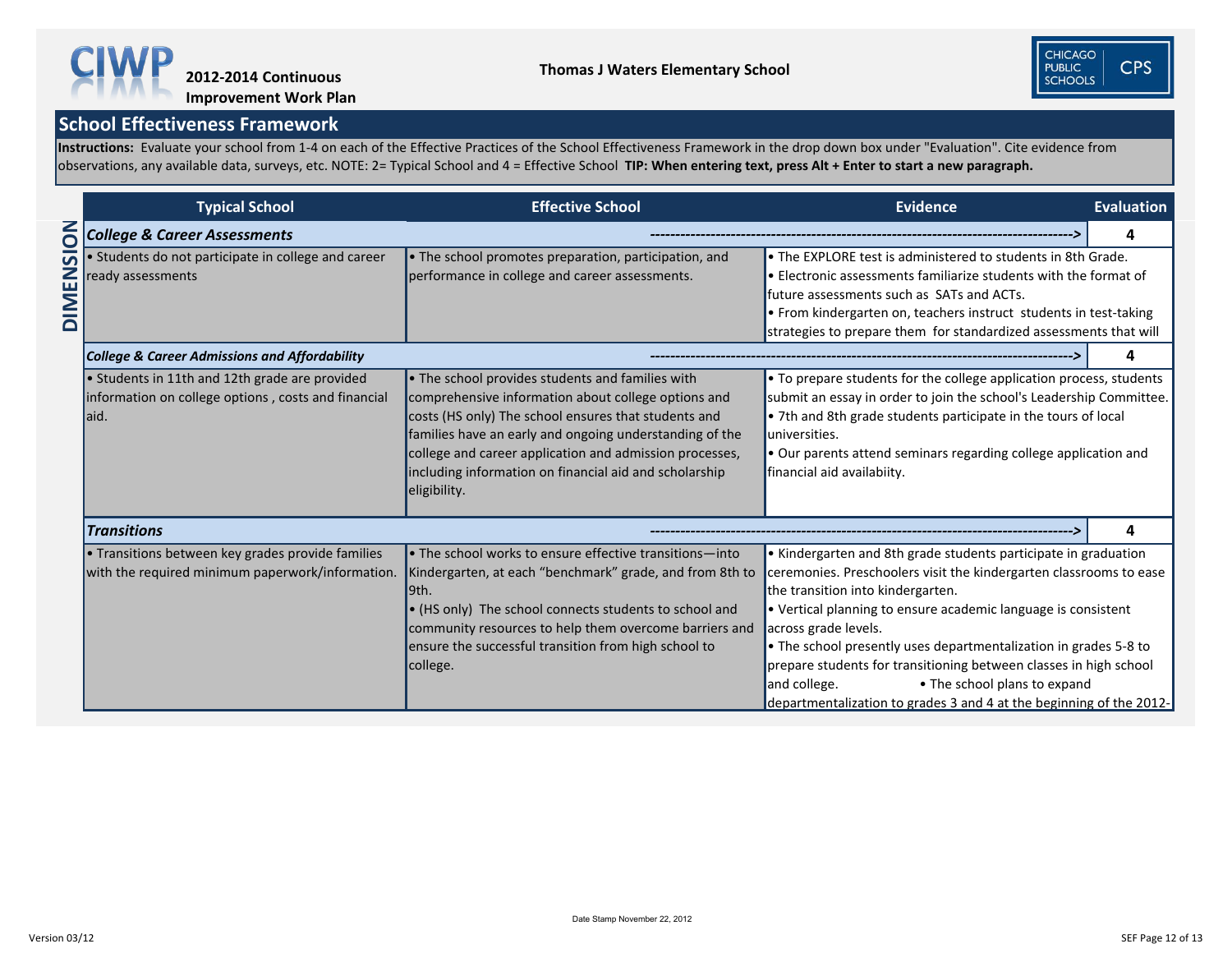**Instructions:** Evaluate your school from 1-4 on each of the Effective Practices of the School Effectiveness Framework in the drop down box under "Evaluation". Cite evidence from observations, any available data, surveys, etc. NOTE: 2= Typical School and 4 = Effective School **TIP: When entering text, press Alt + Enter to start a new paragraph.** 



|       | <b>Typical School</b>                                                                                          | <b>Evidence</b>                                                                                                                                                                                                                                                                                                                                                         | <b>Evaluation</b>                                                                                                                                                                                                                                                                                                                                                                                                                                                                                                                   |   |
|-------|----------------------------------------------------------------------------------------------------------------|-------------------------------------------------------------------------------------------------------------------------------------------------------------------------------------------------------------------------------------------------------------------------------------------------------------------------------------------------------------------------|-------------------------------------------------------------------------------------------------------------------------------------------------------------------------------------------------------------------------------------------------------------------------------------------------------------------------------------------------------------------------------------------------------------------------------------------------------------------------------------------------------------------------------------|---|
| NOISI | <b>College &amp; Career Assessments</b>                                                                        |                                                                                                                                                                                                                                                                                                                                                                         |                                                                                                                                                                                                                                                                                                                                                                                                                                                                                                                                     | 4 |
| DIMEN | · Students do not participate in college and career<br>ready assessments                                       | • The EXPLORE test is administered to students in 8th Grade.<br>• Electronic assessments familiarize students with the format of<br>future assessments such as SATs and ACTs.<br>$\bullet$ From kindergarten on, teachers instruct students in test-taking<br>strategies to prepare them for standardized assessments that will                                         |                                                                                                                                                                                                                                                                                                                                                                                                                                                                                                                                     |   |
|       | <b>College &amp; Career Admissions and Affordability</b>                                                       |                                                                                                                                                                                                                                                                                                                                                                         |                                                                                                                                                                                                                                                                                                                                                                                                                                                                                                                                     | 4 |
|       | • Students in 11th and 12th grade are provided<br>information on college options, costs and financial<br>laid. | $\bullet$ The school provides students and families with<br>comprehensive information about college options and<br>costs (HS only) The school ensures that students and<br>families have an early and ongoing understanding of the<br>college and career application and admission processes,<br>including information on financial aid and scholarship<br>eligibility. | • To prepare students for the college application process, students<br>submit an essay in order to join the school's Leadership Committee.<br>• 7th and 8th grade students participate in the tours of local<br>universities.<br>• Our parents attend seminars regarding college application and<br>financial aid availabiity.                                                                                                                                                                                                      |   |
|       | <b>Transitions</b>                                                                                             |                                                                                                                                                                                                                                                                                                                                                                         |                                                                                                                                                                                                                                                                                                                                                                                                                                                                                                                                     | 4 |
|       | • Transitions between key grades provide families<br>with the required minimum paperwork/information.          | $\cdot$ The school works to ensure effective transitions—into<br>Kindergarten, at each "benchmark" grade, and from 8th to<br>l9th.<br>$\bullet$ (HS only) The school connects students to school and<br>community resources to help them overcome barriers and<br>ensure the successful transition from high school to<br>college.                                      | • Kindergarten and 8th grade students participate in graduation<br>ceremonies. Preschoolers visit the kindergarten classrooms to ease<br>the transition into kindergarten.<br>• Vertical planning to ensure academic language is consistent<br>across grade levels.<br>• The school presently uses departmentalization in grades 5-8 to<br>prepare students for transitioning between classes in high school<br>• The school plans to expand<br>and college.<br>departmentalization to grades 3 and 4 at the beginning of the 2012- |   |

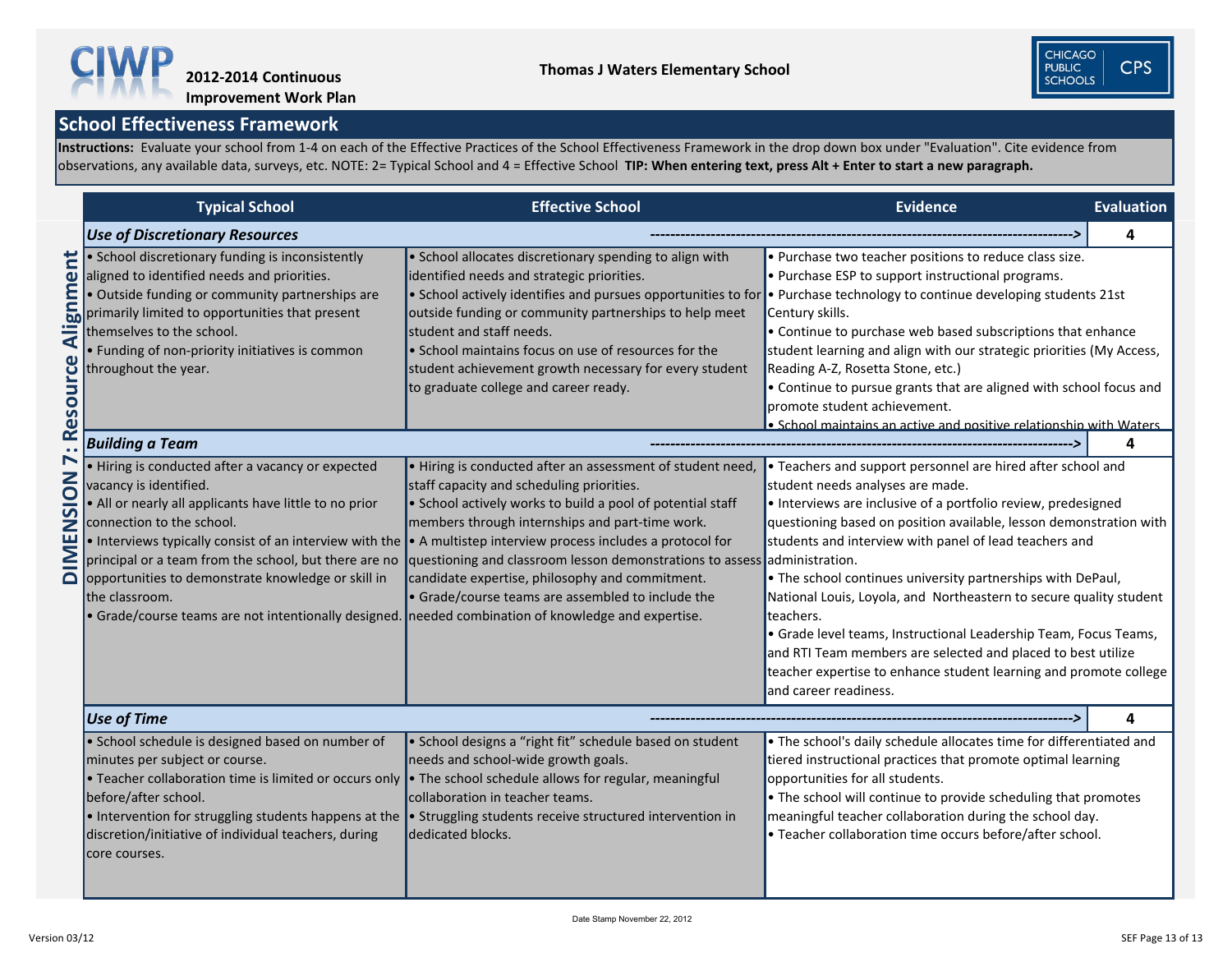**Instructions:** Evaluate your school from 1-4 on each of the Effective Practices of the School Effectiveness Framework in the drop down box under "Evaluation". Cite evidence from observations, any available data, surveys, etc. NOTE: 2= Typical School and 4 = Effective School **TIP: When entering text, press Alt + Enter to start a new paragraph.** 



# **Improvement Work Plan**

|                                                                             | <b>Typical School</b>                                                                                                                                                                                                                                                                                                                                                                                                | <b>Evidence</b>                                                                                                                                                                                                                                                                                                                                                                                                                                                                                                                                    | Evaluation                                                                                                                                                                                                                                                                                                                                                                                                                                                                                                                                                                                                                                                                           |   |
|-----------------------------------------------------------------------------|----------------------------------------------------------------------------------------------------------------------------------------------------------------------------------------------------------------------------------------------------------------------------------------------------------------------------------------------------------------------------------------------------------------------|----------------------------------------------------------------------------------------------------------------------------------------------------------------------------------------------------------------------------------------------------------------------------------------------------------------------------------------------------------------------------------------------------------------------------------------------------------------------------------------------------------------------------------------------------|--------------------------------------------------------------------------------------------------------------------------------------------------------------------------------------------------------------------------------------------------------------------------------------------------------------------------------------------------------------------------------------------------------------------------------------------------------------------------------------------------------------------------------------------------------------------------------------------------------------------------------------------------------------------------------------|---|
|                                                                             | <b>Use of Discretionary Resources</b>                                                                                                                                                                                                                                                                                                                                                                                |                                                                                                                                                                                                                                                                                                                                                                                                                                                                                                                                                    |                                                                                                                                                                                                                                                                                                                                                                                                                                                                                                                                                                                                                                                                                      |   |
| Ë<br>$\mathbf 0$<br>Ξ<br>$\blacktriangleleft$<br><b>rce</b><br><b>Resou</b> | • School discretionary funding is inconsistently<br>aligned to identified needs and priorities.<br>• Outside funding or community partnerships are<br>primarily limited to opportunities that present<br>themselves to the school.<br>• Funding of non-priority initiatives is common<br>throughout the year.                                                                                                        | • School allocates discretionary spending to align with<br>identified needs and strategic priorities.<br>• School actively identifies and pursues opportunities to for<br>outside funding or community partnerships to help meet<br>student and staff needs.<br>• School maintains focus on use of resources for the<br>student achievement growth necessary for every student<br>to graduate college and career ready.                                                                                                                            | • Purchase two teacher positions to reduce class size.<br>• Purchase ESP to support instructional programs.<br>• Purchase technology to continue developing students 21st<br>Century skills.<br>• Continue to purchase web based subscriptions that enhance<br>student learning and align with our strategic priorities (My Access,<br>Reading A-Z, Rosetta Stone, etc.)<br>• Continue to pursue grants that are aligned with school focus and<br>promote student achievement.<br>. School maintains an active and positive relationship with Waters                                                                                                                                 |   |
|                                                                             | <b>Building a Team</b>                                                                                                                                                                                                                                                                                                                                                                                               |                                                                                                                                                                                                                                                                                                                                                                                                                                                                                                                                                    |                                                                                                                                                                                                                                                                                                                                                                                                                                                                                                                                                                                                                                                                                      |   |
| $\blacktriangleright$<br><b>Z</b><br>O<br>5<br>Ζ<br>щ<br>$\Box$             | • Hiring is conducted after a vacancy or expected<br>vacancy is identified.<br>• All or nearly all applicants have little to no prior<br>connection to the school.<br>principal or a team from the school, but there are no<br>opportunities to demonstrate knowledge or skill in<br>the classroom.<br>$\bullet$ Grade/course teams are not intentionally designed.   needed combination of knowledge and expertise. | • Hiring is conducted after an assessment of student need,<br>staff capacity and scheduling priorities.<br>• School actively works to build a pool of potential staff<br>members through internships and part-time work.<br>• Interviews typically consist of an interview with the $\vert \cdot \vert$ A multistep interview process includes a protocol for<br>questioning and classroom lesson demonstrations to assess administration.<br>candidate expertise, philosophy and commitment.<br>• Grade/course teams are assembled to include the | • Teachers and support personnel are hired after school and<br>student needs analyses are made.<br>• Interviews are inclusive of a portfolio review, predesigned<br>questioning based on position available, lesson demonstration with<br>students and interview with panel of lead teachers and<br>. The school continues university partnerships with DePaul,<br>National Louis, Loyola, and Northeastern to secure quality student<br>teachers.<br>• Grade level teams, Instructional Leadership Team, Focus Teams,<br>and RTI Team members are selected and placed to best utilize<br>teacher expertise to enhance student learning and promote college<br>and career readiness. |   |
|                                                                             | Use of Time                                                                                                                                                                                                                                                                                                                                                                                                          |                                                                                                                                                                                                                                                                                                                                                                                                                                                                                                                                                    |                                                                                                                                                                                                                                                                                                                                                                                                                                                                                                                                                                                                                                                                                      | 4 |
|                                                                             | • School schedule is designed based on number of<br>minutes per subject or course.<br>$\bullet$ Teacher collaboration time is limited or occurs only<br>before/after school.<br>$\bullet$ Intervention for struggling students happens at the<br>discretion/initiative of individual teachers, during<br>core courses.                                                                                               | • School designs a "right fit" schedule based on student<br>needs and school-wide growth goals.<br>$\bullet$ The school schedule allows for regular, meaningful<br>collaboration in teacher teams.<br>• Struggling students receive structured intervention in<br>dedicated blocks.                                                                                                                                                                                                                                                                | . The school's daily schedule allocates time for differentiated and<br>tiered instructional practices that promote optimal learning<br>opportunities for all students.<br>• The school will continue to provide scheduling that promotes<br>meaningful teacher collaboration during the school day.<br>• Teacher collaboration time occurs before/after school.                                                                                                                                                                                                                                                                                                                      |   |



**CPS**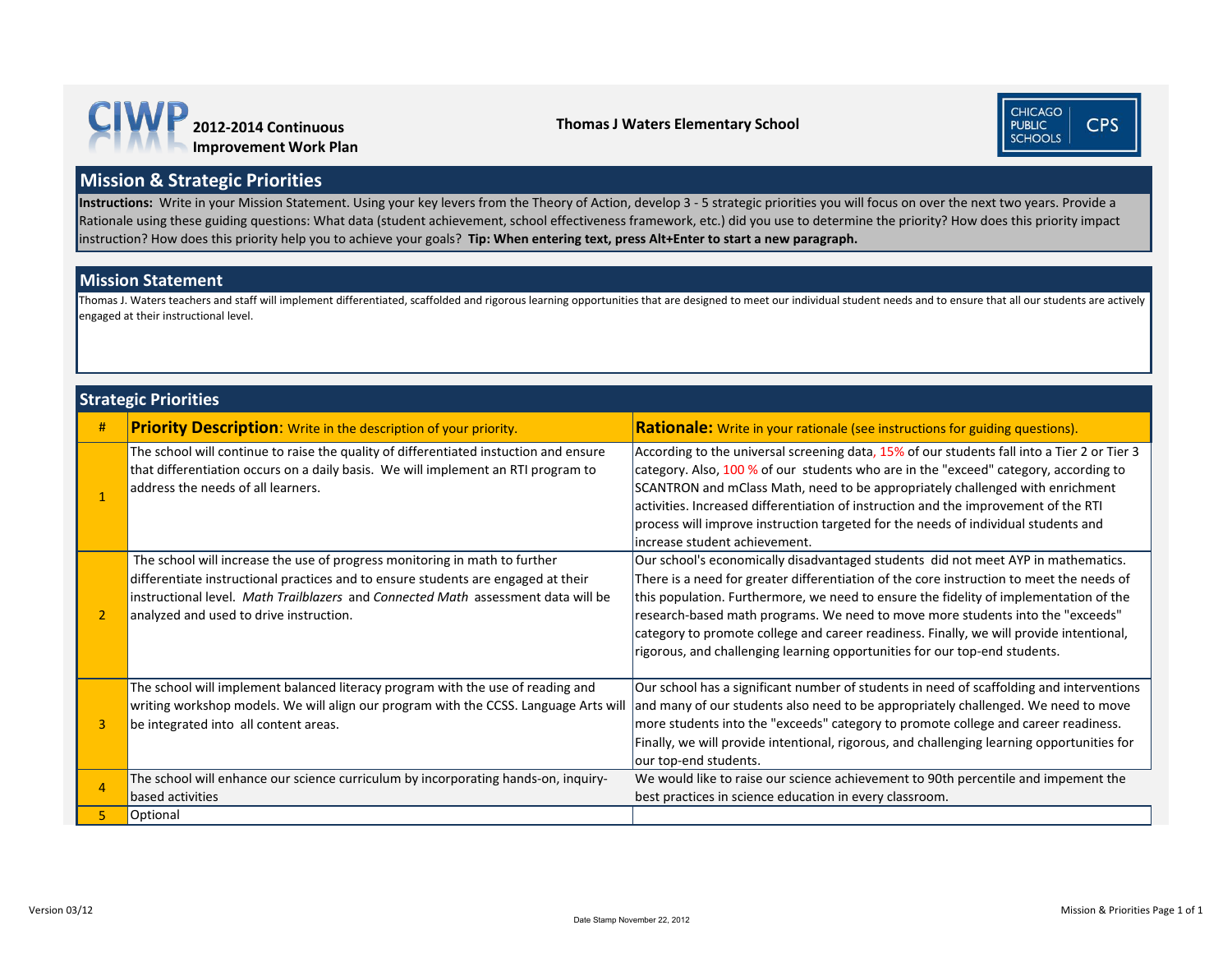| #              | <b>Priority Description:</b> Write in the description of your priority.                                                                                                                                                                                                                         | <b>Rationale:</b> Write in your rationale (see instru                                                                                                                                                                                                                                                       |
|----------------|-------------------------------------------------------------------------------------------------------------------------------------------------------------------------------------------------------------------------------------------------------------------------------------------------|-------------------------------------------------------------------------------------------------------------------------------------------------------------------------------------------------------------------------------------------------------------------------------------------------------------|
| $\mathbf{1}$   | The school will continue to raise the quality of differentiated instuction and ensure<br>that differentiation occurs on a daily basis. We will implement an RTI program to<br>address the needs of all learners.                                                                                | According to the universal screening data, 15%<br>category. Also, 100 % of our students who are<br>SCANTRON and mClass Math, need to be appro<br>activities. Increased differentiation of instructio<br>process will improve instruction targeted for th<br>increase student achievement.                   |
| $\overline{2}$ | The school will increase the use of progress monitoring in math to further<br>differentiate instructional practices and to ensure students are engaged at their<br>instructional level. Math Trailblazers and Connected Math assessment data will be<br>analyzed and used to drive instruction. | Our school's economically disadvantaged stude<br>There is a need for greater differentiation of the<br>this population. Furthermore, we need to ensure<br>research-based math programs. We need to mo<br>category to promote college and career readine<br>rigorous, and challenging learning opportunities |
| $\overline{3}$ | The school will implement balanced literacy program with the use of reading and<br>writing workshop models. We will align our program with the CCSS. Language Arts will<br>be integrated into all content areas.                                                                                | Our school has a significant number of students<br>and many of our students also need to be appro<br>more students into the "exceeds" category to p<br>Finally, we will provide intentional, rigorous, an<br>our top-end students.                                                                          |
| 4              | The school will enhance our science curriculum by incorporating hands-on, inquiry-<br>based activities                                                                                                                                                                                          | We would like to raise our science achievement<br>best practices in science education in every clas                                                                                                                                                                                                         |
| 5              | Optional                                                                                                                                                                                                                                                                                        |                                                                                                                                                                                                                                                                                                             |

#### **Strategic Priorities**

#### **Mission & Strategic Priorities**

#### **Mission Statement**

Thomas J. Waters teachers and staff will implement differentiated, scaffolded and rigorous learning opportunities that are designed to meet our individual student needs and to ensure that all our students are actively engaged at their instructional level.

**Instructions:** Write in your Mission Statement. Using your key levers from the Theory of Action, develop 3 - 5 strategic priorities you will focus on over the next two years. Provide a Rationale using these guiding questions: What data (student achievement, school effectiveness framework, etc.) did you use to determine the priority? How does this priority impact instruction? How does this priority help you to achieve your goals? **Tip: When entering text, press Alt+Enter to start a new paragraph.**



#### **Thomas J Waters Elementary School**





#### **Respries in the description** of the descriptions of the descriptions of the descriptions of the total designal

of our students fall into a Tier 2 or Tier 3 in the "exceed" category, according to priately challenged with enrichment In and the improvement of the RTI e needs of individual students and

ents did not meet AYP in mathematics. e core instruction to meet the needs of re the fidelity of implementation of the ove more students into the "exceeds" ess. Finally, we will provide intentional, s for our top-end students.

in need of scaffolding and interventions opriately challenged. We need to move momote college and career readiness. d challenging learning opportunities for

t to 90th percentile and impement the sroom.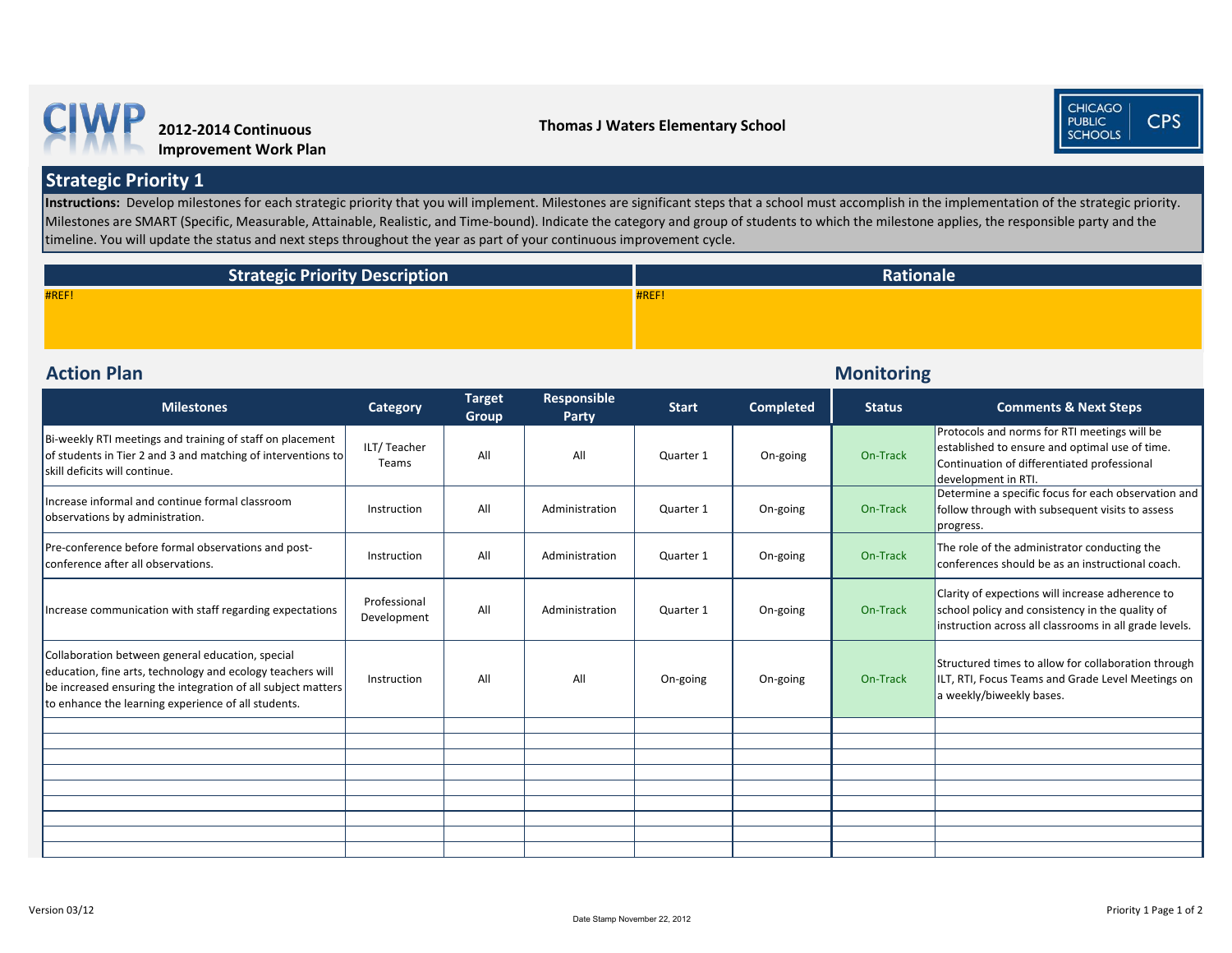**Monitoring** 

| <b>Milestones</b>                                                                                                                                                                                                                     | <b>Category</b>             | <b>Target</b><br><b>Group</b> | <b>Responsible</b><br><b>Party</b> | <b>Start</b> | <b>Completed</b> | <b>Status</b> | <b>Comments &amp; Next Steps</b>                                                                                                                                     |
|---------------------------------------------------------------------------------------------------------------------------------------------------------------------------------------------------------------------------------------|-----------------------------|-------------------------------|------------------------------------|--------------|------------------|---------------|----------------------------------------------------------------------------------------------------------------------------------------------------------------------|
| Bi-weekly RTI meetings and training of staff on placement<br>of students in Tier 2 and 3 and matching of interventions to<br>skill deficits will continue.                                                                            | ILT/Teacher<br>Teams        | All                           | All                                | Quarter 1    | On-going         | On-Track      | Protocols and norms for RTI meetings will be<br>established to ensure and optimal use of time.<br>Continuation of differentiated professional<br>development in RTI. |
| Increase informal and continue formal classroom<br>observations by administration.                                                                                                                                                    | Instruction                 | All                           | Administration                     | Quarter 1    | On-going         | On-Track      | Determine a specific focus for each observation and<br>follow through with subsequent visits to assess<br>progress.                                                  |
| Pre-conference before formal observations and post-<br>conference after all observations.                                                                                                                                             | Instruction                 | All                           | Administration                     | Quarter 1    | On-going         | On-Track      | The role of the administrator conducting the<br>conferences should be as an instructional coach.                                                                     |
| Increase communication with staff regarding expectations                                                                                                                                                                              | Professional<br>Development | All                           | Administration                     | Quarter 1    | On-going         | On-Track      | Clarity of expections will increase adherence to<br>school policy and consistency in the quality of<br>instruction across all classrooms in all grade levels.        |
| Collaboration between general education, special<br>education, fine arts, technology and ecology teachers will<br>be increased ensuring the integration of all subject matters<br>to enhance the learning experience of all students. | Instruction                 | All                           | All                                | On-going     | On-going         | On-Track      | Structured times to allow for collaboration through<br>ILT, RTI, Focus Teams and Grade Level Meetings on<br>a weekly/biweekly bases.                                 |
|                                                                                                                                                                                                                                       |                             |                               |                                    |              |                  |               |                                                                                                                                                                      |
|                                                                                                                                                                                                                                       |                             |                               |                                    |              |                  |               |                                                                                                                                                                      |
|                                                                                                                                                                                                                                       |                             |                               |                                    |              |                  |               |                                                                                                                                                                      |
|                                                                                                                                                                                                                                       |                             |                               |                                    |              |                  |               |                                                                                                                                                                      |
|                                                                                                                                                                                                                                       |                             |                               |                                    |              |                  |               |                                                                                                                                                                      |
|                                                                                                                                                                                                                                       |                             |                               |                                    |              |                  |               |                                                                                                                                                                      |
|                                                                                                                                                                                                                                       |                             |                               |                                    |              |                  |               |                                                                                                                                                                      |

Instructions: Develop milestones for each strategic priority that you will implement. Milestones are significant steps that a school must accomplish in the implementation of the strategic priority. Milestones are SMART (Specific, Measurable, Attainable, Realistic, and Time-bound). Indicate the category and group of students to which the milestone applies, the responsible party and the timeline. You will update the status and next steps throughout the year as part of your continuous improvement cycle.

# **Action Plan**

**Strategic Priority 1**

| <b>Strategic Priority Description</b> | Ratio |
|---------------------------------------|-------|
| #REF!                                 | #REF! |
|                                       |       |







#### **nale**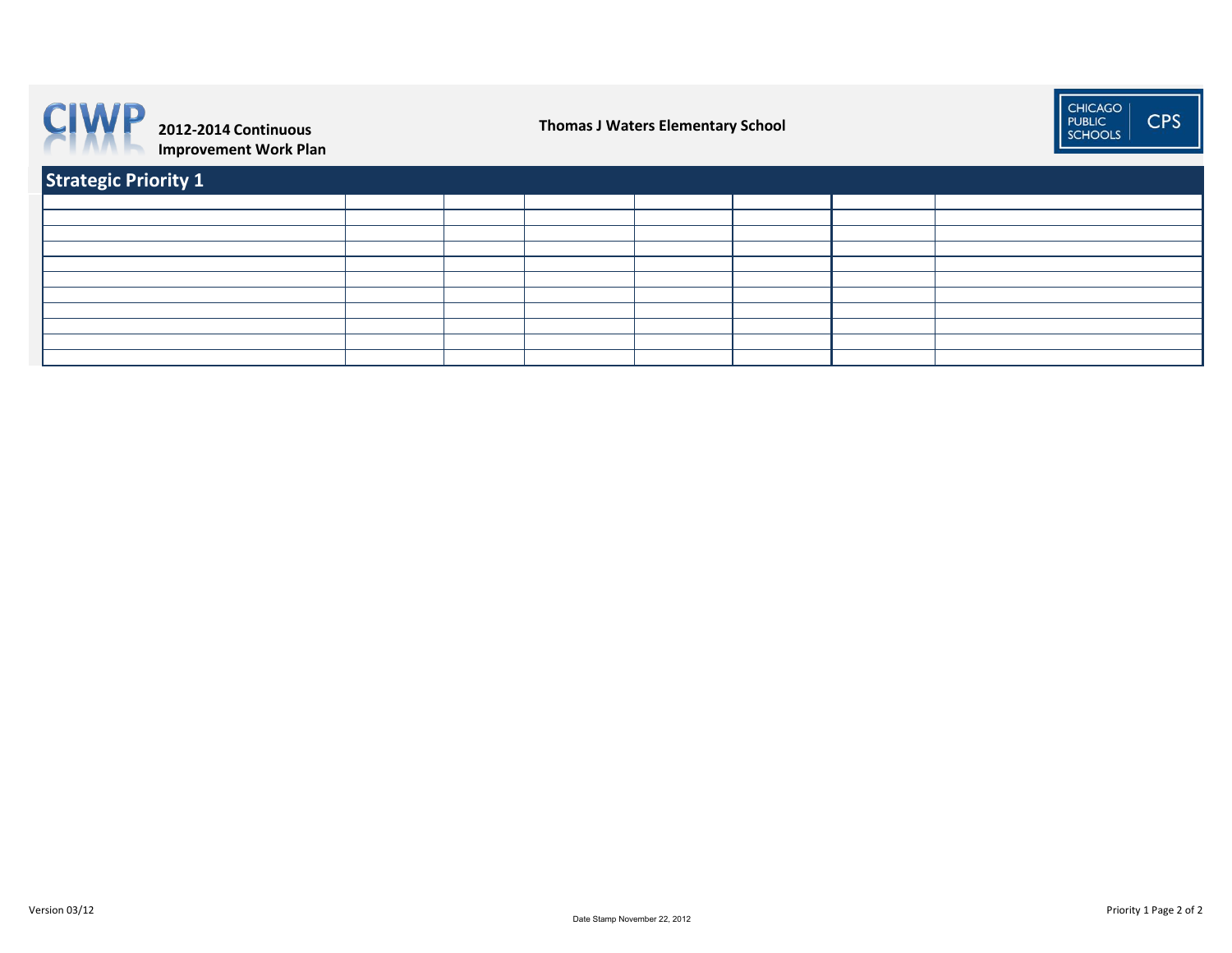| Strategic Priority 1 |  |  |  |  |  |
|----------------------|--|--|--|--|--|
|                      |  |  |  |  |  |
|                      |  |  |  |  |  |
|                      |  |  |  |  |  |
|                      |  |  |  |  |  |
|                      |  |  |  |  |  |
|                      |  |  |  |  |  |
|                      |  |  |  |  |  |
|                      |  |  |  |  |  |
|                      |  |  |  |  |  |
|                      |  |  |  |  |  |
|                      |  |  |  |  |  |





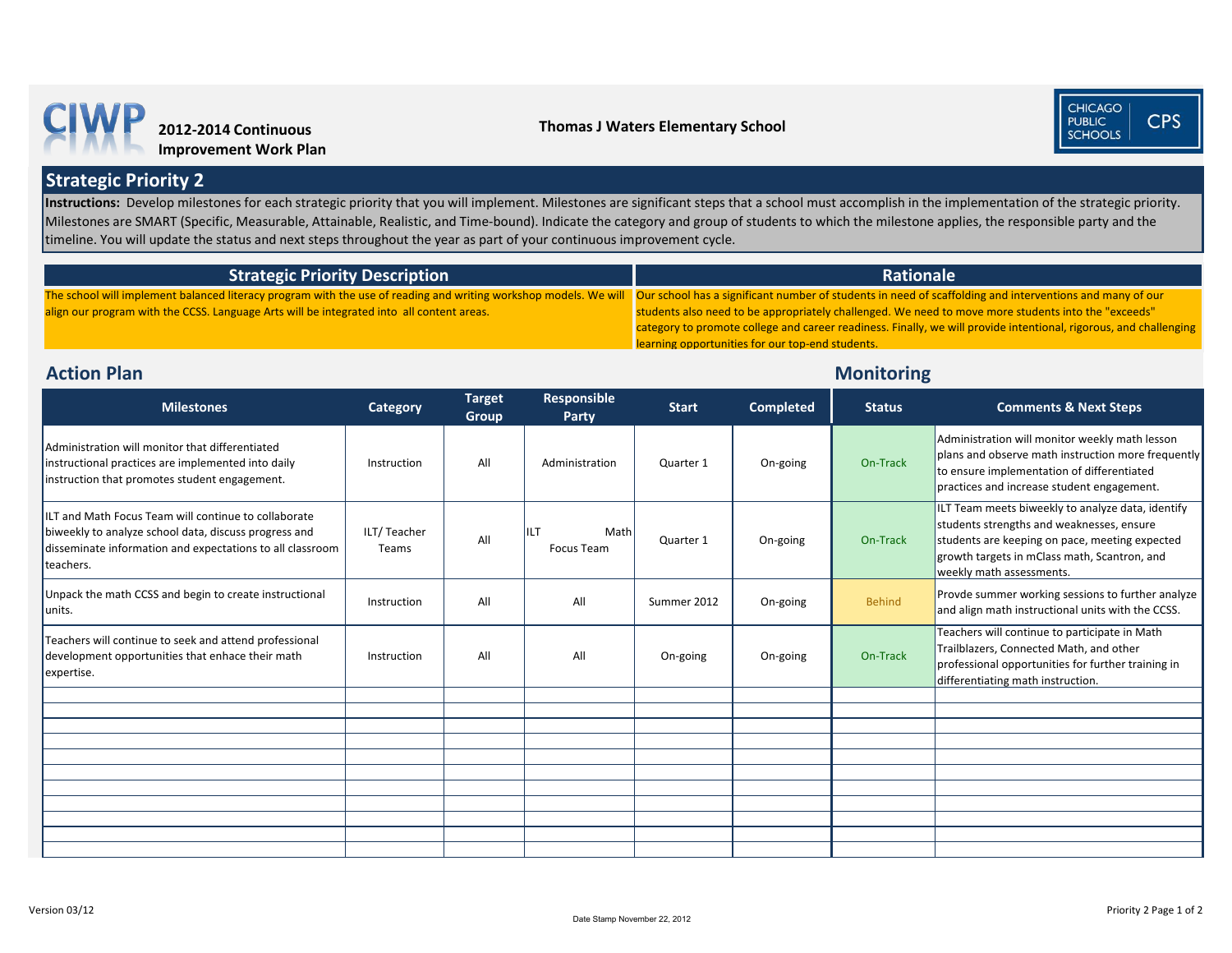# **Monitoring**

| <b>Milestones</b>                                                                                                                                                                       | <b>Category</b>      | <b>Target</b><br><b>Group</b> | <b>Responsible</b><br>Party | <b>Start</b> | <b>Completed</b> | <b>Status</b> | <b>Comments &amp; Next Steps</b>                                                                                                                                                                                             |
|-----------------------------------------------------------------------------------------------------------------------------------------------------------------------------------------|----------------------|-------------------------------|-----------------------------|--------------|------------------|---------------|------------------------------------------------------------------------------------------------------------------------------------------------------------------------------------------------------------------------------|
| Administration will monitor that differentiated<br>instructional practices are implemented into daily<br>instruction that promotes student engagement.                                  | Instruction          | All                           | Administration              | Quarter 1    | On-going         | On-Track      | Administration will monitor weekly math lesson<br>plans and observe math instruction more frequently<br>to ensure implementation of differentiated<br>practices and increase student engagement.                             |
| ILT and Math Focus Team will continue to collaborate<br>biweekly to analyze school data, discuss progress and<br>disseminate information and expectations to all classroom<br>teachers. | ILT/Teacher<br>Teams | All                           | IILT<br>Math<br>Focus Team  | Quarter 1    | On-going         | On-Track      | ILT Team meets biweekly to analyze data, identify<br>students strengths and weaknesses, ensure<br>students are keeping on pace, meeting expected<br>growth targets in mClass math, Scantron, and<br>weekly math assessments. |
| Unpack the math CCSS and begin to create instructional<br>units.                                                                                                                        | Instruction          | All                           | All                         | Summer 2012  | On-going         | <b>Behind</b> | Provde summer working sessions to further analyze<br>and align math instructional units with the CCSS.                                                                                                                       |
| Teachers will continue to seek and attend professional<br>development opportunities that enhace their math<br>expertise.                                                                | Instruction          | All                           | All                         | On-going     | On-going         | On-Track      | Teachers will continue to participate in Math<br>Trailblazers, Connected Math, and other<br>professional opportunities for further training in<br>differentiating math instruction.                                          |
|                                                                                                                                                                                         |                      |                               |                             |              |                  |               |                                                                                                                                                                                                                              |
|                                                                                                                                                                                         |                      |                               |                             |              |                  |               |                                                                                                                                                                                                                              |
|                                                                                                                                                                                         |                      |                               |                             |              |                  |               |                                                                                                                                                                                                                              |
|                                                                                                                                                                                         |                      |                               |                             |              |                  |               |                                                                                                                                                                                                                              |
|                                                                                                                                                                                         |                      |                               |                             |              |                  |               |                                                                                                                                                                                                                              |
|                                                                                                                                                                                         |                      |                               |                             |              |                  |               |                                                                                                                                                                                                                              |
|                                                                                                                                                                                         |                      |                               |                             |              |                  |               |                                                                                                                                                                                                                              |
|                                                                                                                                                                                         |                      |                               |                             |              |                  |               |                                                                                                                                                                                                                              |
|                                                                                                                                                                                         |                      |                               |                             |              |                  |               |                                                                                                                                                                                                                              |

Instructions: Develop milestones for each strategic priority that you will implement. Milestones are significant steps that a school must accomplish in the implementation of the strategic priority. Milestones are SMART (Specific, Measurable, Attainable, Realistic, and Time-bound). Indicate the category and group of students to which the milestone applies, the responsible party and the timeline. You will update the status and next steps throughout the year as part of your continuous improvement cycle.

### **Strategic Priority 2**

## **Action Plan**

| <b>Strategic Priority Description</b> |  |
|---------------------------------------|--|
|                                       |  |

The school will implement balanced literacy program with the use of reading and writing workshop models. We will **Our school has a significant number of students in need of scaffolding and interventions and many of our** align our program with the CCSS. Language Arts will be integrated into all content areas.

#### **Rationale**

students also need to be appropriately challenged. We need to move more students into the "exceeds" category to promote college and career readiness. Finally, we will provide intentional, rigorous, and challenging learning opportunities for our top-end students.





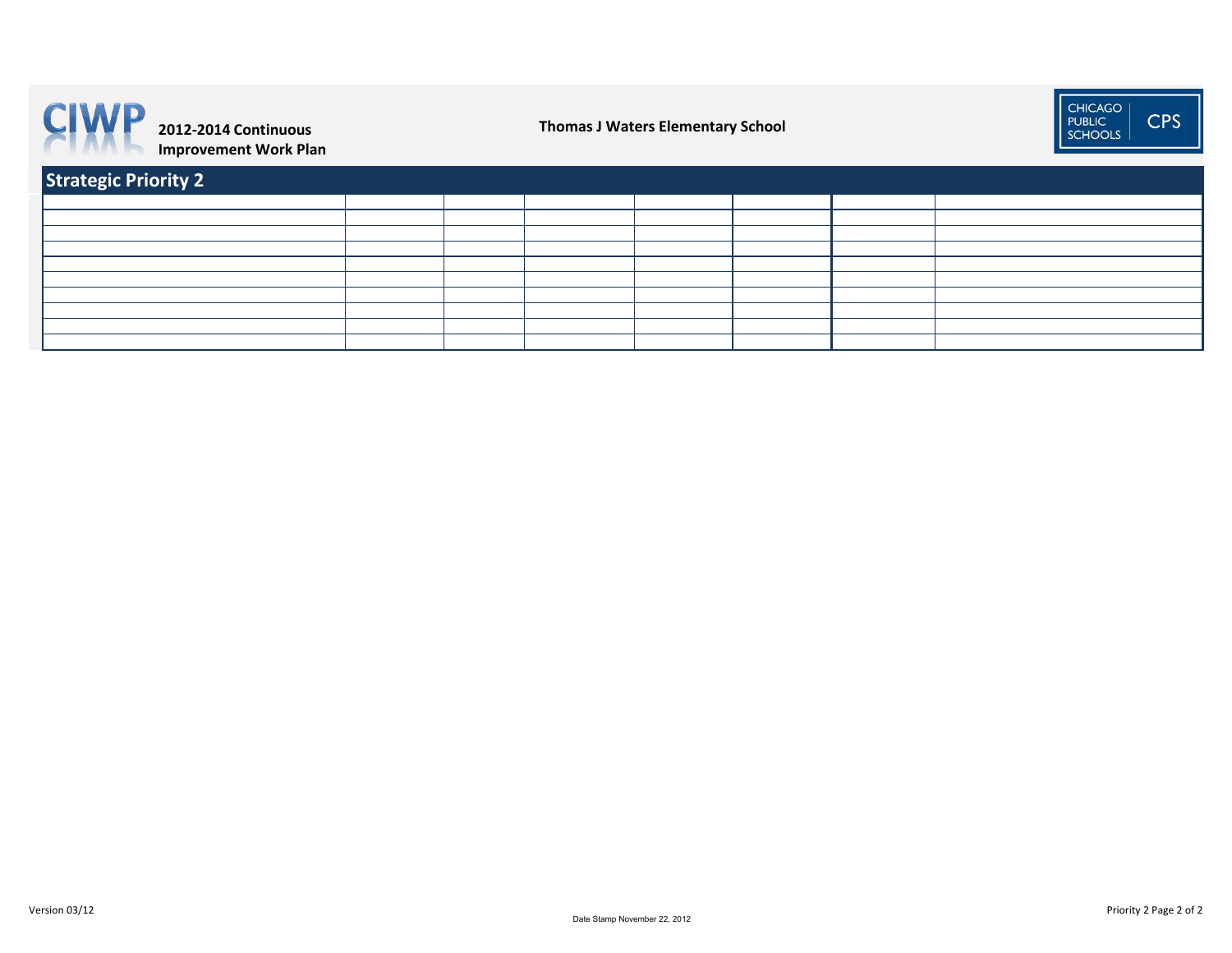| <b>Strategic Priority 2</b> |  |  |  |
|-----------------------------|--|--|--|
|                             |  |  |  |
|                             |  |  |  |
|                             |  |  |  |
|                             |  |  |  |
|                             |  |  |  |
|                             |  |  |  |
|                             |  |  |  |
|                             |  |  |  |
|                             |  |  |  |
|                             |  |  |  |



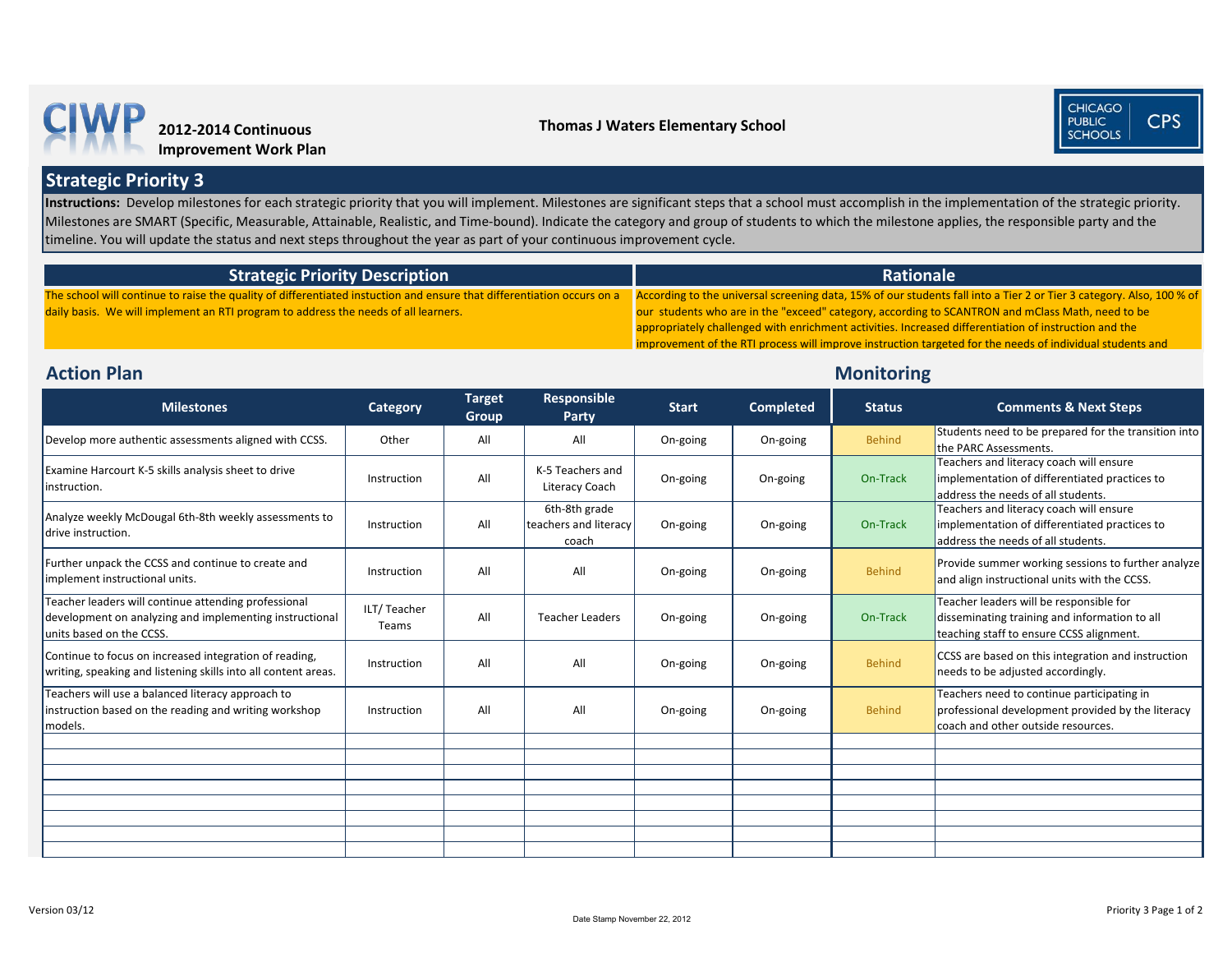### **Monitoring**

| <b>Milestones</b>                                                                                                                           | <b>Category</b>      | <b>Target</b><br><b>Group</b> | <b>Responsible</b><br><b>Party</b>              | <b>Start</b> | <b>Completed</b> | <b>Status</b> | <b>Comments &amp; Next Steps</b>                                                                                                      |
|---------------------------------------------------------------------------------------------------------------------------------------------|----------------------|-------------------------------|-------------------------------------------------|--------------|------------------|---------------|---------------------------------------------------------------------------------------------------------------------------------------|
| Develop more authentic assessments aligned with CCSS.                                                                                       | Other                | All                           | All                                             | On-going     | On-going         | <b>Behind</b> | Students need to be prepared for the transition into<br>the PARC Assessments.                                                         |
| Examine Harcourt K-5 skills analysis sheet to drive<br>instruction.                                                                         | Instruction          | All                           | K-5 Teachers and<br>Literacy Coach              | On-going     | On-going         | On-Track      | Teachers and literacy coach will ensure<br>implementation of differentiated practices to<br>address the needs of all students.        |
| Analyze weekly McDougal 6th-8th weekly assessments to<br>drive instruction.                                                                 | Instruction          | All                           | 6th-8th grade<br>teachers and literacy<br>coach | On-going     | On-going         | On-Track      | Teachers and literacy coach will ensure<br>implementation of differentiated practices to<br>address the needs of all students.        |
| Further unpack the CCSS and continue to create and<br>implement instructional units.                                                        | Instruction          | All                           | All                                             | On-going     | On-going         | <b>Behind</b> | Provide summer working sessions to further analyze<br>and align instructional units with the CCSS.                                    |
| Teacher leaders will continue attending professional<br>development on analyzing and implementing instructional<br>units based on the CCSS. | ILT/Teacher<br>Teams | All                           | <b>Teacher Leaders</b>                          | On-going     | On-going         | On-Track      | Teacher leaders will be responsible for<br>disseminating training and information to all<br>teaching staff to ensure CCSS alignment.  |
| Continue to focus on increased integration of reading,<br>writing, speaking and listening skills into all content areas.                    | Instruction          | All                           | All                                             | On-going     | On-going         | <b>Behind</b> | CCSS are based on this integration and instruction<br>needs to be adjusted accordingly.                                               |
| Teachers will use a balanced literacy approach to<br>instruction based on the reading and writing workshop<br>models.                       | Instruction          | All                           | All                                             | On-going     | On-going         | <b>Behind</b> | Teachers need to continue participating in<br>professional development provided by the literacy<br>coach and other outside resources. |
|                                                                                                                                             |                      |                               |                                                 |              |                  |               |                                                                                                                                       |
|                                                                                                                                             |                      |                               |                                                 |              |                  |               |                                                                                                                                       |
|                                                                                                                                             |                      |                               |                                                 |              |                  |               |                                                                                                                                       |
|                                                                                                                                             |                      |                               |                                                 |              |                  |               |                                                                                                                                       |
|                                                                                                                                             |                      |                               |                                                 |              |                  |               |                                                                                                                                       |
|                                                                                                                                             |                      |                               |                                                 |              |                  |               |                                                                                                                                       |
|                                                                                                                                             |                      |                               |                                                 |              |                  |               |                                                                                                                                       |





s fall into a Tier 2 or Tier 3 category. Also, 100 % of **CANTRON and mClass Math, need to be** d differentiation of instruction and the ted for the needs of individual students and

Instructions: Develop milestones for each strategic priority that you will implement. Milestones are significant steps that a school must accomplish in the implementation of the strategic priority. Milestones are SMART (Specific, Measurable, Attainable, Realistic, and Time-bound). Indicate the category and group of students to which the milestone applies, the responsible party and the timeline. You will update the status and next steps throughout the year as part of your continuous improvement cycle.

**Strategic Priority 3**

### **Action Plan**

| <b>Strategic Priority Description</b>                                                                                  | Rationale                                                        |
|------------------------------------------------------------------------------------------------------------------------|------------------------------------------------------------------|
| The school will continue to raise the quality of differentiated instuction and ensure that differentiation occurs on a | According to the universal screening data, 15% of our students   |
| daily basis. We will implement an RTI program to address the needs of all learners.                                    | our students who are in the "exceed" category, according to SC   |
|                                                                                                                        | appropriately challenged with enrichment activities. Increased d |
|                                                                                                                        | improvement of the PTI process will improve instruction targety  |

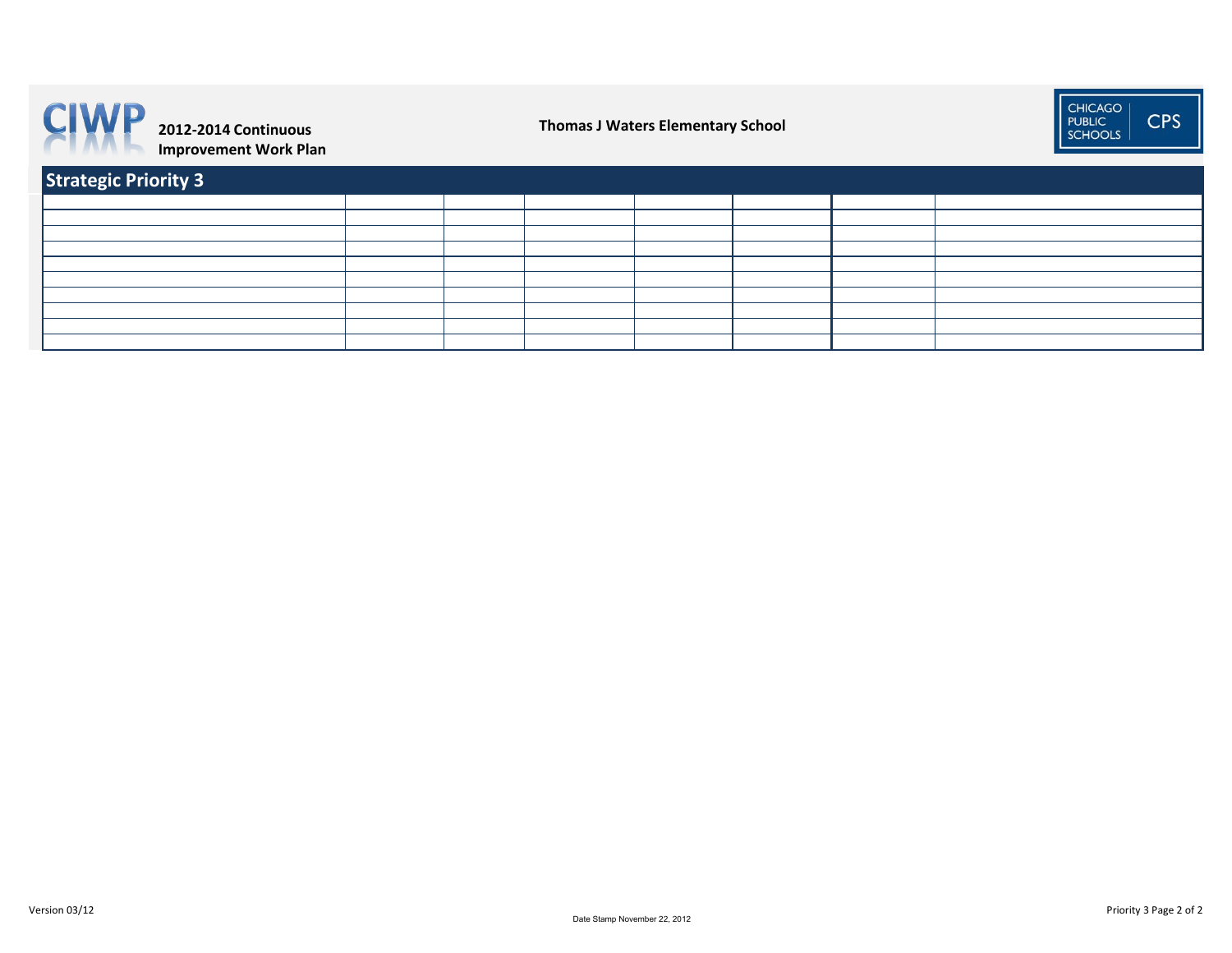| <b>Strategic Priority 3</b> |  |  |  |
|-----------------------------|--|--|--|
|                             |  |  |  |
|                             |  |  |  |
|                             |  |  |  |
|                             |  |  |  |
|                             |  |  |  |
|                             |  |  |  |
|                             |  |  |  |
|                             |  |  |  |
|                             |  |  |  |
|                             |  |  |  |



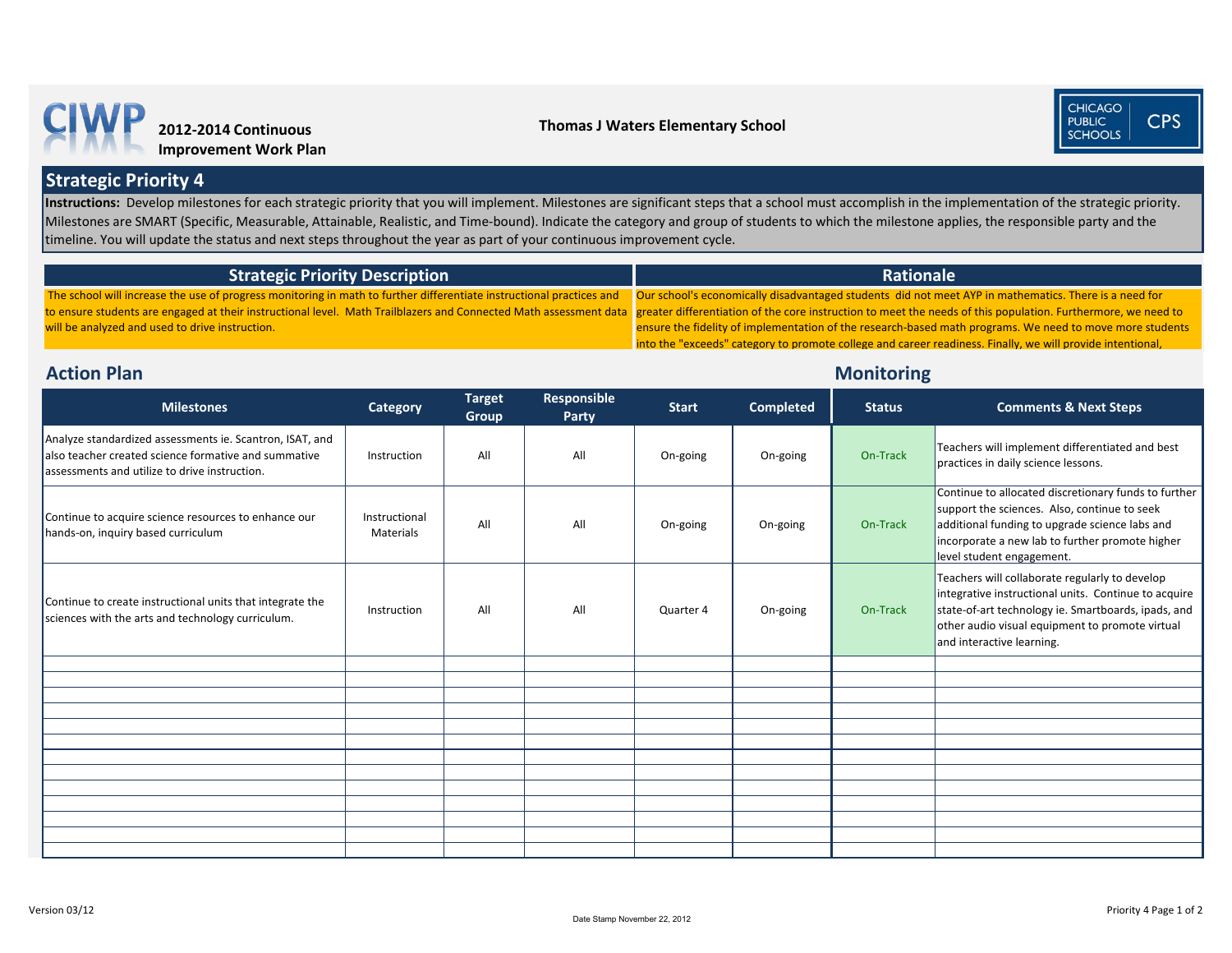# **Monitoring**

| <b>Milestones</b>                                                                                                                                                 | <b>Category</b>            | <b>Target</b><br><b>Group</b> | Responsible<br><b>Party</b> | <b>Start</b> | <b>Completed</b> | <b>Status</b> | <b>Comments &amp; Next Steps</b>                                                                                                                                                                                                              |
|-------------------------------------------------------------------------------------------------------------------------------------------------------------------|----------------------------|-------------------------------|-----------------------------|--------------|------------------|---------------|-----------------------------------------------------------------------------------------------------------------------------------------------------------------------------------------------------------------------------------------------|
| Analyze standardized assessments ie. Scantron, ISAT, and<br>also teacher created science formative and summative<br>assessments and utilize to drive instruction. | Instruction                | All                           | All                         | On-going     | On-going         | On-Track      | Teachers will implement differentiated and best<br>practices in daily science lessons.                                                                                                                                                        |
| Continue to acquire science resources to enhance our<br>hands-on, inquiry based curriculum                                                                        | Instructional<br>Materials | All                           | All                         | On-going     | On-going         | On-Track      | Continue to allocated discretionary funds to further<br>support the sciences. Also, continue to seek<br>additional funding to upgrade science labs and<br>incorporate a new lab to further promote higher<br>level student engagement.        |
| Continue to create instructional units that integrate the<br>sciences with the arts and technology curriculum.                                                    | Instruction                | All                           | All                         | Quarter 4    | On-going         | On-Track      | Teachers will collaborate regularly to develop<br>integrative instructional units. Continue to acquire<br>state-of-art technology ie. Smartboards, ipads, and<br>other audio visual equipment to promote virtual<br>and interactive learning. |
|                                                                                                                                                                   |                            |                               |                             |              |                  |               |                                                                                                                                                                                                                                               |
|                                                                                                                                                                   |                            |                               |                             |              |                  |               |                                                                                                                                                                                                                                               |
|                                                                                                                                                                   |                            |                               |                             |              |                  |               |                                                                                                                                                                                                                                               |
|                                                                                                                                                                   |                            |                               |                             |              |                  |               |                                                                                                                                                                                                                                               |
|                                                                                                                                                                   |                            |                               |                             |              |                  |               |                                                                                                                                                                                                                                               |
|                                                                                                                                                                   |                            |                               |                             |              |                  |               |                                                                                                                                                                                                                                               |
|                                                                                                                                                                   |                            |                               |                             |              |                  |               |                                                                                                                                                                                                                                               |
|                                                                                                                                                                   |                            |                               |                             |              |                  |               |                                                                                                                                                                                                                                               |
|                                                                                                                                                                   |                            |                               |                             |              |                  |               |                                                                                                                                                                                                                                               |
|                                                                                                                                                                   |                            |                               |                             |              |                  |               |                                                                                                                                                                                                                                               |
|                                                                                                                                                                   |                            |                               |                             |              |                  |               |                                                                                                                                                                                                                                               |
|                                                                                                                                                                   |                            |                               |                             |              |                  |               |                                                                                                                                                                                                                                               |

Instructions: Develop milestones for each strategic priority that you will implement. Milestones are significant steps that a school must accomplish in the implementation of the strategic priority. Milestones are SMART (Specific, Measurable, Attainable, Realistic, and Time-bound). Indicate the category and group of students to which the milestone applies, the responsible party and the timeline. You will update the status and next steps throughout the year as part of your continuous improvement cycle.

**Strategic Priority 4**

#### **Action Plan**

| <b>Strategic Priority Description</b>                                                                                                                                           | <b>Ration</b>                                              |
|---------------------------------------------------------------------------------------------------------------------------------------------------------------------------------|------------------------------------------------------------|
| The school will increase the use of progress monitoring in math to further differentiate instructional practices and Our school's economically disadvantaged students did not   |                                                            |
| to ensure students are engaged at their instructional level. Math Trailblazers and Connected Math assessment data greater differentiation of the core instruction to meet the r |                                                            |
| will be analyzed and used to drive instruction.                                                                                                                                 | ensure the fidelity of implementation of the research-base |
|                                                                                                                                                                                 | into the "exceeds" category to promote college and career  |



#### **Thomas J Waters Elementary School**





#### **Rale**

meet AYP in mathematics. There is a need for needs of this population. Furthermore, we need to d math programs. We need to move more students readiness. Finally, we will provide intentional,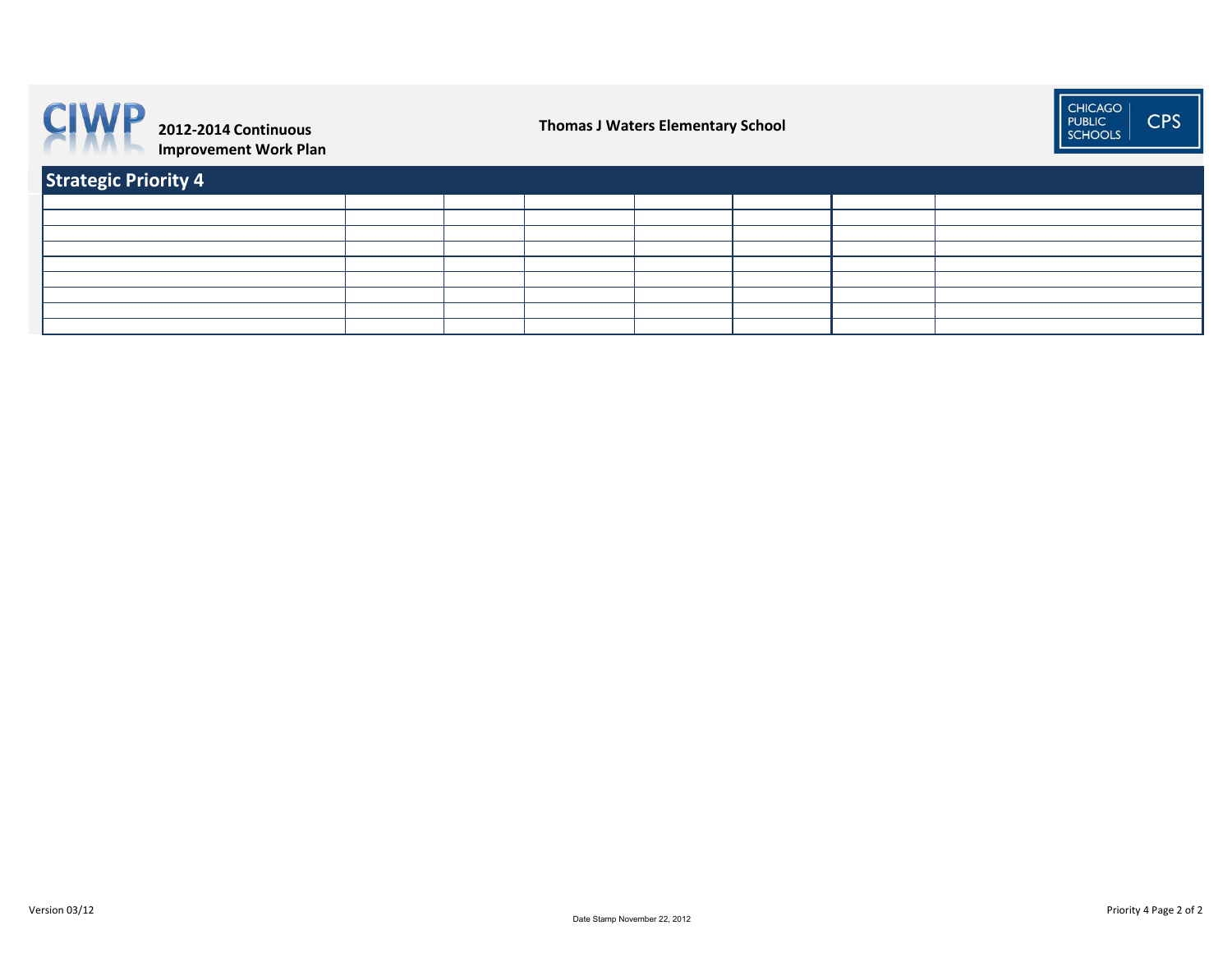| Strategic Priority 4 |  |  |  |
|----------------------|--|--|--|
|                      |  |  |  |
|                      |  |  |  |
|                      |  |  |  |
|                      |  |  |  |
|                      |  |  |  |
|                      |  |  |  |
|                      |  |  |  |
|                      |  |  |  |
|                      |  |  |  |